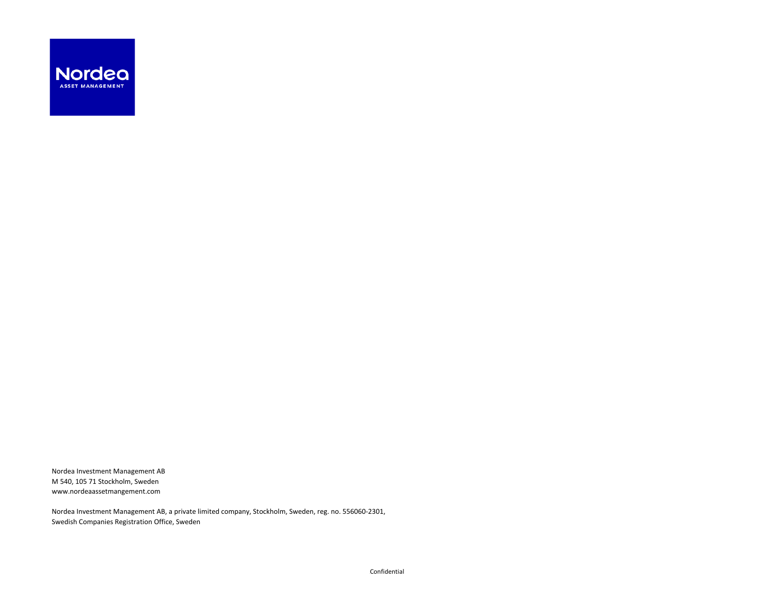

Nordea Investment Management AB M 540, 105 71 Stockholm, Sweden www.nordeaassetmangement.com

Nordea Investment Management AB, a private limited company, Stockholm, Sweden, reg. no. 556060-2301, Swedish Companies Registration Office, Sweden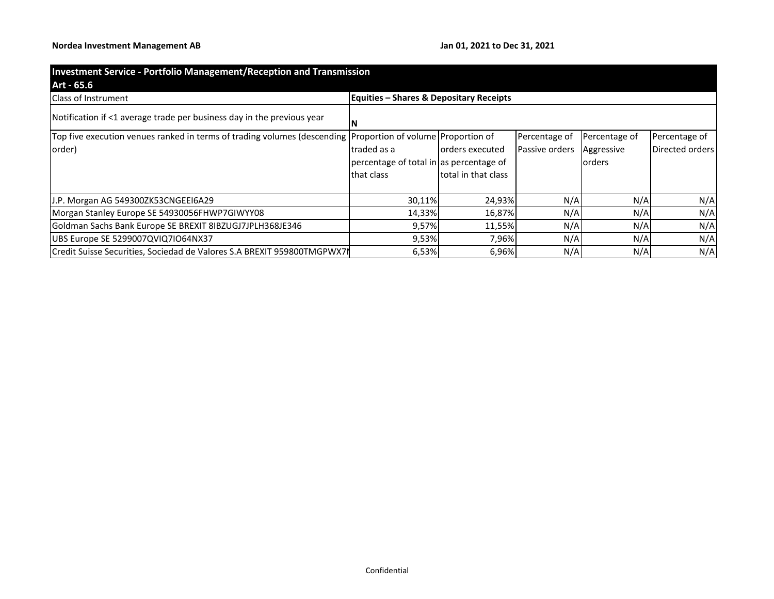| <b>Investment Service - Portfolio Management/Reception and Transmission</b>                                 |                                                    |                     |                |               |                 |
|-------------------------------------------------------------------------------------------------------------|----------------------------------------------------|---------------------|----------------|---------------|-----------------|
| Art - 65.6                                                                                                  |                                                    |                     |                |               |                 |
| <b>Class of Instrument</b>                                                                                  | <b>Equities - Shares &amp; Depositary Receipts</b> |                     |                |               |                 |
| Notification if <1 average trade per business day in the previous year                                      |                                                    |                     |                |               |                 |
| Top five execution venues ranked in terms of trading volumes (descending Proportion of volume Proportion of |                                                    |                     | Percentage of  | Percentage of | Percentage of   |
| order)                                                                                                      | traded as a                                        | lorders executed    | Passive orders | Aggressive    | Directed orders |
|                                                                                                             | percentage of total in as percentage of            |                     |                | <b>orders</b> |                 |
|                                                                                                             | that class                                         | total in that class |                |               |                 |
| J.P. Morgan AG 549300ZK53CNGEEI6A29                                                                         | 30,11%                                             | 24,93%              | N/A            | N/A           | N/A             |
| Morgan Stanley Europe SE 54930056FHWP7GIWYY08                                                               | 14,33%                                             | 16,87%              | N/A            | N/A           | N/A             |
| Goldman Sachs Bank Europe SE BREXIT 8IBZUGJ7JPLH368JE346                                                    | 9,57%                                              | 11,55%              | N/A            | N/A           | N/A             |
| UBS Europe SE 5299007QVIQ7IO64NX37                                                                          | 9,53%                                              | 7,96%               | N/A            | N/A           | N/A             |
| Credit Suisse Securities, Sociedad de Valores S.A BREXIT 959800TMGPWX7I                                     | 6,53%                                              | 6,96%               | N/A            | N/A           | N/A             |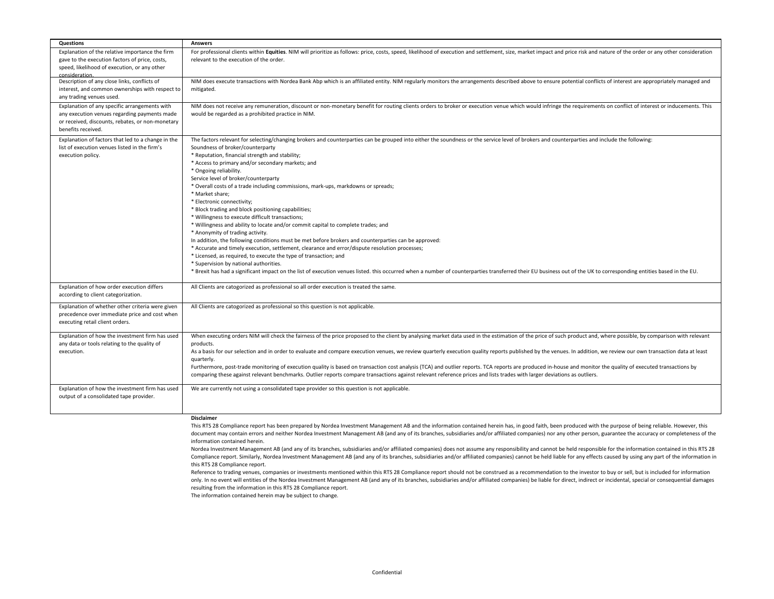| Questions                                                                                      | <b>Answers</b>                                                                                                                                                                                                                                                          |
|------------------------------------------------------------------------------------------------|-------------------------------------------------------------------------------------------------------------------------------------------------------------------------------------------------------------------------------------------------------------------------|
| Explanation of the relative importance the firm                                                | For professional clients within Equities. NIM will prioritize as follows: price, costs, speed, likelihood of execution and settlement, size, market impact and price risk and nature of the order or any other consideration<br>relevant to the execution of the order. |
| gave to the execution factors of price, costs,<br>speed, likelihood of execution, or any other |                                                                                                                                                                                                                                                                         |
| consideration.                                                                                 |                                                                                                                                                                                                                                                                         |
| Description of any close links, conflicts of                                                   | NIM does execute transactions with Nordea Bank Abp which is an affiliated entity. NIM regularly monitors the arrangements described above to ensure potential conflicts of interest are appropriately managed and                                                       |
| interest, and common ownerships with respect to                                                | mitigated.                                                                                                                                                                                                                                                              |
| any trading venues used.                                                                       |                                                                                                                                                                                                                                                                         |
| Explanation of any specific arrangements with                                                  | NIM does not receive any remuneration, discount or non-monetary benefit for routing clients orders to broker or execution venue which would infringe the requirements on conflict of interest or inducements. This                                                      |
| any execution venues regarding payments made                                                   | would be regarded as a prohibited practice in NIM.                                                                                                                                                                                                                      |
| or received, discounts, rebates, or non-monetary<br>benefits received.                         |                                                                                                                                                                                                                                                                         |
| Explanation of factors that led to a change in the                                             |                                                                                                                                                                                                                                                                         |
| list of execution venues listed in the firm's                                                  | The factors relevant for selecting/changing brokers and counterparties can be grouped into either the soundness or the service level of brokers and counterparties and include the following:<br>Soundness of broker/counterparty                                       |
| execution policy.                                                                              | * Reputation, financial strength and stability;                                                                                                                                                                                                                         |
|                                                                                                | * Access to primary and/or secondary markets; and                                                                                                                                                                                                                       |
|                                                                                                | * Ongoing reliability.                                                                                                                                                                                                                                                  |
|                                                                                                | Service level of broker/counterparty                                                                                                                                                                                                                                    |
|                                                                                                | * Overall costs of a trade including commissions, mark-ups, markdowns or spreads;                                                                                                                                                                                       |
|                                                                                                | * Market share:                                                                                                                                                                                                                                                         |
|                                                                                                | * Electronic connectivity;<br>* Block trading and block positioning capabilities;                                                                                                                                                                                       |
|                                                                                                | * Willingness to execute difficult transactions;                                                                                                                                                                                                                        |
|                                                                                                | * Willingness and ability to locate and/or commit capital to complete trades; and                                                                                                                                                                                       |
|                                                                                                | * Anonymity of trading activity.                                                                                                                                                                                                                                        |
|                                                                                                | In addition, the following conditions must be met before brokers and counterparties can be approved:                                                                                                                                                                    |
|                                                                                                | * Accurate and timely execution, settlement, clearance and error/dispute resolution processes;                                                                                                                                                                          |
|                                                                                                | * Licensed, as required, to execute the type of transaction; and                                                                                                                                                                                                        |
|                                                                                                | * Supervision by national authorities.<br>* Brexit has had a significant impact on the list of execution venues listed. this occurred when a number of counterparties transferred their EU business out of the UK to corresponding entities based in the EU.            |
|                                                                                                |                                                                                                                                                                                                                                                                         |
| Explanation of how order execution differs                                                     | All Clients are catogorized as professional so all order execution is treated the same.                                                                                                                                                                                 |
| according to client categorization.                                                            |                                                                                                                                                                                                                                                                         |
| Explanation of whether other criteria were given                                               | All Clients are catogorized as professional so this question is not applicable.                                                                                                                                                                                         |
| precedence over immediate price and cost when                                                  |                                                                                                                                                                                                                                                                         |
| executing retail client orders.                                                                |                                                                                                                                                                                                                                                                         |
| Explanation of how the investment firm has used                                                | When executing orders NIM will check the fairness of the price proposed to the client by analysing market data used in the estimation of the price of such product and, where possible, by comparison with relevant                                                     |
| any data or tools relating to the quality of                                                   | products.                                                                                                                                                                                                                                                               |
| execution.                                                                                     | As a basis for our selection and in order to evaluate and compare execution venues, we review quarterly execution quality reports published by the venues. In addition, we review our own transaction data at least                                                     |
|                                                                                                | quarterly.                                                                                                                                                                                                                                                              |
|                                                                                                | Furthermore, post-trade monitoring of execution quality is based on transaction cost analysis (TCA) and outlier reports. TCA reports are produced in-house and monitor the quality of executed transactions by                                                          |
|                                                                                                | comparing these against relevant benchmarks. Outlier reports compare transactions against relevant reference prices and lists trades with larger deviations as outliers.                                                                                                |
| Explanation of how the investment firm has used                                                | We are currently not using a consolidated tape provider so this question is not applicable.                                                                                                                                                                             |
| output of a consolidated tape provider.                                                        |                                                                                                                                                                                                                                                                         |
|                                                                                                |                                                                                                                                                                                                                                                                         |
|                                                                                                | <b>Disclaimer</b>                                                                                                                                                                                                                                                       |
|                                                                                                | This RTS 28 Compliance report has been prepared by Nordea Investment Management AB and the information contained herein has, in good faith, been produced with the purpose of being reliable. However, this                                                             |

document may contain errors and neither Nordea Investment Management AB (and any of its branches, subsidiaries and/or affiliated companies) nor any other person, guarantee the accuracy or completeness of the information contained herein.

Nordea Investment Management AB (and any of its branches, subsidiaries and/or affiliated companies) does not assume any responsibility and cannot be held responsible for the information contained in this RTS 28 Compliance report. Similarly, Nordea Investment Management AB (and any of its branches, subsidiaries and/or affiliated companies) cannot be held liable for any effects caused by using any part of the information in this RTS 28 Compliance report.

Reference to trading venues, companies or investments mentioned within this RTS 28 Compliance report should not be construed as a recommendation to the investor to buy or sell, but is included for information only. In no event will entities of the Nordea Investment Management AB (and any of its branches, subsidiaries and/or affiliated companies) be liable for direct, indirect or incidental, special or consequential damages resulting from the information in this RTS 28 Compliance report.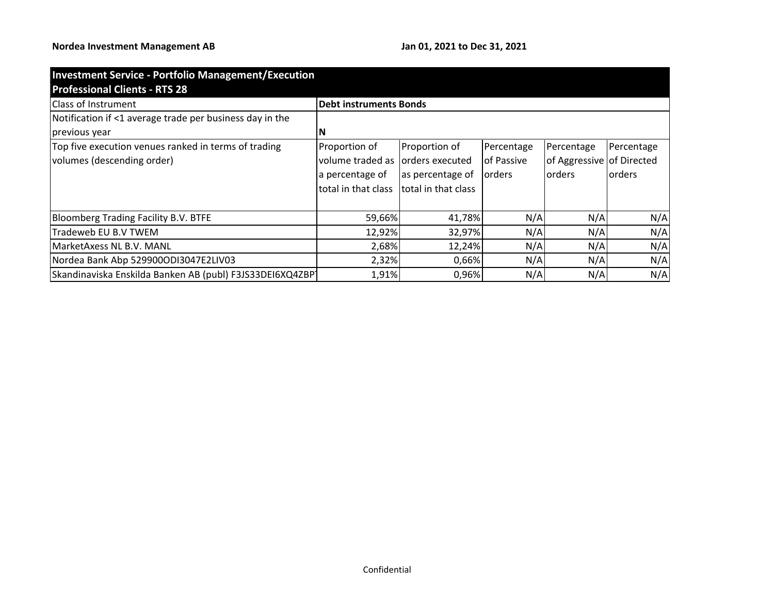| <b>Investment Service - Portfolio Management/Execution</b> |                               |                     |               |                           |            |
|------------------------------------------------------------|-------------------------------|---------------------|---------------|---------------------------|------------|
| <b>Professional Clients - RTS 28</b>                       |                               |                     |               |                           |            |
| <b>Class of Instrument</b>                                 | <b>Debt instruments Bonds</b> |                     |               |                           |            |
| Notification if <1 average trade per business day in the   |                               |                     |               |                           |            |
| previous year                                              | N                             |                     |               |                           |            |
| Top five execution venues ranked in terms of trading       | Proportion of                 | Proportion of       | Percentage    | Percentage                | Percentage |
| volumes (descending order)                                 | volume traded as              | lorders executed    | lof Passive   | of Aggressive of Directed |            |
|                                                            | a percentage of               | as percentage of    | <b>orders</b> | orders                    | orders     |
|                                                            | total in that class           | total in that class |               |                           |            |
| <b>Bloomberg Trading Facility B.V. BTFE</b>                | 59,66%                        | 41,78%              | N/A           | N/A                       | N/A        |
| Tradeweb EU B.V TWEM                                       | 12,92%                        | 32,97%              | N/A           | N/A                       | N/A        |
| MarketAxess NL B.V. MANL                                   | 2,68%                         | 12,24%              | N/A           | N/A                       | N/A        |
| Nordea Bank Abp 529900ODI3047E2LIV03                       | 2,32%                         | 0,66%               | N/A           | N/A                       | N/A        |
| Skandinaviska Enskilda Banken AB (publ) F3JS33DEI6XQ4ZBP   | 1,91%                         | 0,96%               | N/A           | N/A                       | N/A        |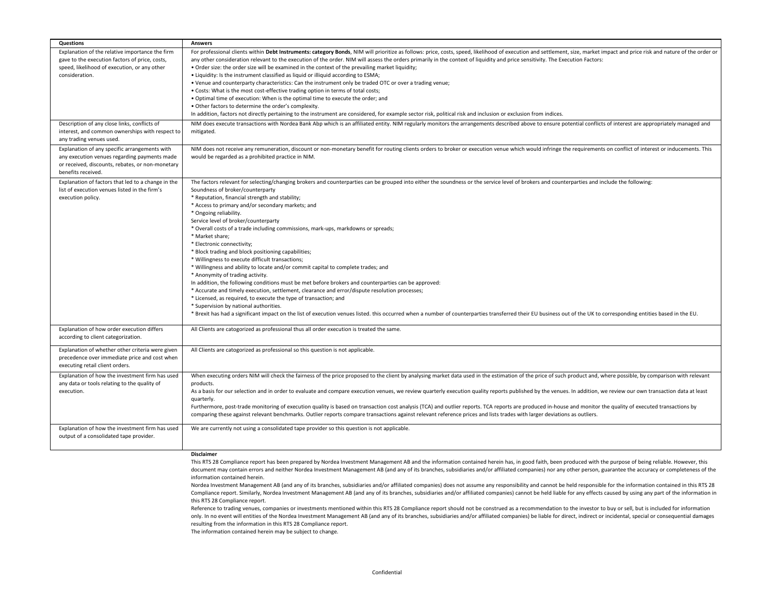| <b>Questions</b>                                   | <b>Answers</b>                                                                                                                                                                                                               |
|----------------------------------------------------|------------------------------------------------------------------------------------------------------------------------------------------------------------------------------------------------------------------------------|
| Explanation of the relative importance the firm    | For professional clients within Debt Instruments: category Bonds, NIM will prioritize as follows: price, costs, speed, likelihood of execution and settlement, size, market impact and price risk and nature of the order or |
| gave to the execution factors of price, costs,     | any other consideration relevant to the execution of the order. NIM will assess the orders primarily in the context of liquidity and price sensitivity. The Execution Factors:                                               |
| speed, likelihood of execution, or any other       | . Order size: the order size will be examined in the context of the prevailing market liquidity;                                                                                                                             |
| consideration.                                     | • Liquidity: Is the instrument classified as liquid or illiquid according to ESMA;                                                                                                                                           |
|                                                    | • Venue and counterparty characteristics: Can the instrument only be traded OTC or over a trading venue;                                                                                                                     |
|                                                    | • Costs: What is the most cost-effective trading option in terms of total costs;                                                                                                                                             |
|                                                    | . Optimal time of execution: When is the optimal time to execute the order; and                                                                                                                                              |
|                                                    | . Other factors to determine the order's complexity.                                                                                                                                                                         |
|                                                    | In addition, factors not directly pertaining to the instrument are considered, for example sector risk, political risk and inclusion or exclusion from indices.                                                              |
| Description of any close links, conflicts of       | NIM does execute transactions with Nordea Bank Abp which is an affiliated entity. NIM regularly monitors the arrangements described above to ensure potential conflicts of interest are appropriately managed and            |
| interest, and common ownerships with respect to    | mitigated.                                                                                                                                                                                                                   |
| any trading venues used.                           |                                                                                                                                                                                                                              |
| Explanation of any specific arrangements with      | NIM does not receive any remuneration, discount or non-monetary benefit for routing clients orders to broker or execution venue which would infringe the requirements on conflict of interest or inducements. This           |
| any execution venues regarding payments made       | would be regarded as a prohibited practice in NIM.                                                                                                                                                                           |
| or received, discounts, rebates, or non-monetary   |                                                                                                                                                                                                                              |
| benefits received.                                 |                                                                                                                                                                                                                              |
| Explanation of factors that led to a change in the | The factors relevant for selecting/changing brokers and counterparties can be grouped into either the soundness or the service level of brokers and counterparties and include the following:                                |
| list of execution venues listed in the firm's      | Soundness of broker/counterparty                                                                                                                                                                                             |
| execution policy.                                  | * Reputation, financial strength and stability;                                                                                                                                                                              |
|                                                    | * Access to primary and/or secondary markets; and                                                                                                                                                                            |
|                                                    | * Ongoing reliability.                                                                                                                                                                                                       |
|                                                    | Service level of broker/counterparty                                                                                                                                                                                         |
|                                                    | * Overall costs of a trade including commissions, mark-ups, markdowns or spreads;                                                                                                                                            |
|                                                    | * Market share;                                                                                                                                                                                                              |
|                                                    | * Electronic connectivity;                                                                                                                                                                                                   |
|                                                    | * Block trading and block positioning capabilities;                                                                                                                                                                          |
|                                                    | * Willingness to execute difficult transactions;                                                                                                                                                                             |
|                                                    | * Willingness and ability to locate and/or commit capital to complete trades; and                                                                                                                                            |
|                                                    | * Anonymity of trading activity.                                                                                                                                                                                             |
|                                                    | In addition, the following conditions must be met before brokers and counterparties can be approved:                                                                                                                         |
|                                                    | * Accurate and timely execution, settlement, clearance and error/dispute resolution processes;                                                                                                                               |
|                                                    | * Licensed, as required, to execute the type of transaction; and                                                                                                                                                             |
|                                                    | * Supervision by national authorities.                                                                                                                                                                                       |
|                                                    | * Brexit has had a significant impact on the list of execution venues listed. this occurred when a number of counterparties transferred their EU business out of the UK to corresponding entities based in the EU.           |
|                                                    |                                                                                                                                                                                                                              |
| Explanation of how order execution differs         | All Clients are catogorized as professional thus all order execution is treated the same.                                                                                                                                    |
| according to client categorization.                |                                                                                                                                                                                                                              |
| Explanation of whether other criteria were given   | All Clients are catogorized as professional so this question is not applicable.                                                                                                                                              |
| precedence over immediate price and cost when      |                                                                                                                                                                                                                              |
| executing retail client orders.                    |                                                                                                                                                                                                                              |
| Explanation of how the investment firm has used    | When executing orders NIM will check the fairness of the price proposed to the client by analysing market data used in the estimation of the price of such product and, where possible, by comparison with relevant          |
| any data or tools relating to the quality of       | products.                                                                                                                                                                                                                    |
| execution.                                         | As a basis for our selection and in order to evaluate and compare execution venues, we review quarterly execution quality reports published by the venues. In addition, we review our own transaction data at least          |
|                                                    | quarterly.                                                                                                                                                                                                                   |
|                                                    | Furthermore, post-trade monitoring of execution quality is based on transaction cost analysis (TCA) and outlier reports. TCA reports are produced in-house and monitor the quality of executed transactions by               |
|                                                    | comparing these against relevant benchmarks. Outlier reports compare transactions against relevant reference prices and lists trades with larger deviations as outliers.                                                     |
|                                                    |                                                                                                                                                                                                                              |
| Explanation of how the investment firm has used    | We are currently not using a consolidated tape provider so this question is not applicable.                                                                                                                                  |
| output of a consolidated tape provider.            |                                                                                                                                                                                                                              |
|                                                    |                                                                                                                                                                                                                              |
|                                                    | <b>Disclaimer</b>                                                                                                                                                                                                            |
|                                                    | This RTS 28 Compliance report has been prepared by Nordea Investment Management AB and the information contained herein has, in good faith, been produced with the purpose of being reliable. However, this                  |
|                                                    | document may contain errors and neither Nordea Investment Management AB (and any of its branches, subsidiaries and/or affiliated companies) nor any other person, guarantee the accuracy or completeness of the              |

Nordea Investment Management AB (and any of its branches, subsidiaries and/or affiliated companies) does not assume any responsibility and cannot be held responsible for the information contained in this RTS 28 Compliance report. Similarly, Nordea Investment Management AB (and any of its branches, subsidiaries and/or affiliated companies) cannot be held liable for any effects caused by using any part of the information in this RTS 28 Compliance report.

Reference to trading venues, companies or investments mentioned within this RTS 28 Compliance report should not be construed as a recommendation to the investor to buy or sell, but is included for information only. In no event will entities of the Nordea Investment Management AB (and any of its branches, subsidiaries and/or affiliated companies) be liable for direct, indirect or incidental, special or consequential damages resulting from the information in this RTS 28 Compliance report.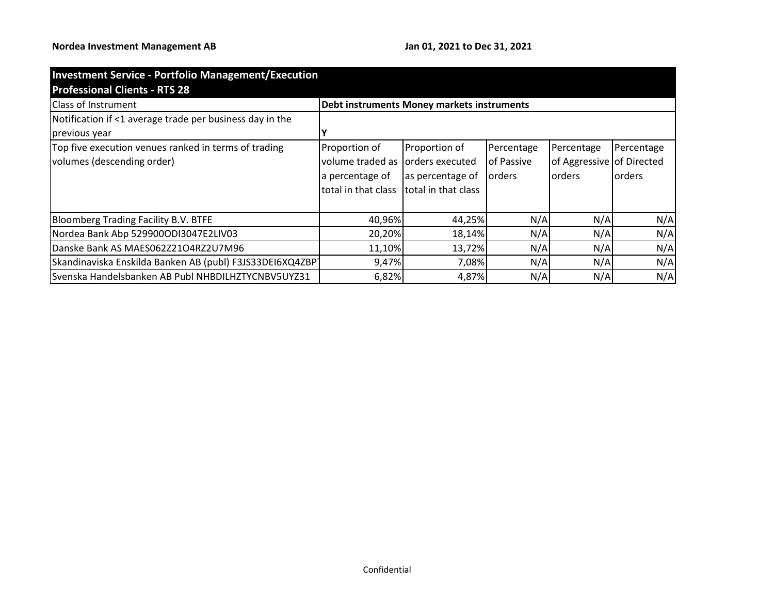| <b>Investment Service - Portfolio Management/Execution</b> |                                            |                     |               |                           |                |
|------------------------------------------------------------|--------------------------------------------|---------------------|---------------|---------------------------|----------------|
| <b>Professional Clients - RTS 28</b>                       |                                            |                     |               |                           |                |
| <b>Class of Instrument</b>                                 | Debt instruments Money markets instruments |                     |               |                           |                |
| Notification if <1 average trade per business day in the   |                                            |                     |               |                           |                |
| previous year                                              |                                            |                     |               |                           |                |
| Top five execution venues ranked in terms of trading       | Proportion of                              | Proportion of       | Percentage    | Percentage                | Percentage     |
| volumes (descending order)                                 | volume traded as                           | orders executed     | of Passive    | of Aggressive of Directed |                |
|                                                            | a percentage of                            | as percentage of    | <b>orders</b> | lorders                   | <b>lorders</b> |
|                                                            | total in that class                        | total in that class |               |                           |                |
| <b>Bloomberg Trading Facility B.V. BTFE</b>                | 40,96%                                     | 44,25%              | N/A           | N/A                       | N/A            |
| Nordea Bank Abp 529900ODI3047E2LIV03                       | 20,20%                                     | 18,14%              | N/A           | N/A                       | N/A            |
| Danske Bank AS MAES062Z21O4RZ2U7M96                        | 11,10%                                     | 13,72%              | N/A           | N/A                       | N/A            |
| Skandinaviska Enskilda Banken AB (publ) F3JS33DEI6XQ4ZBP1  | 9,47%                                      | 7,08%               | N/A           | N/A                       | N/A            |
| Svenska Handelsbanken AB Publ NHBDILHZTYCNBV5UYZ31         | 6,82%                                      | 4,87%               | N/A           | N/A                       | N/A            |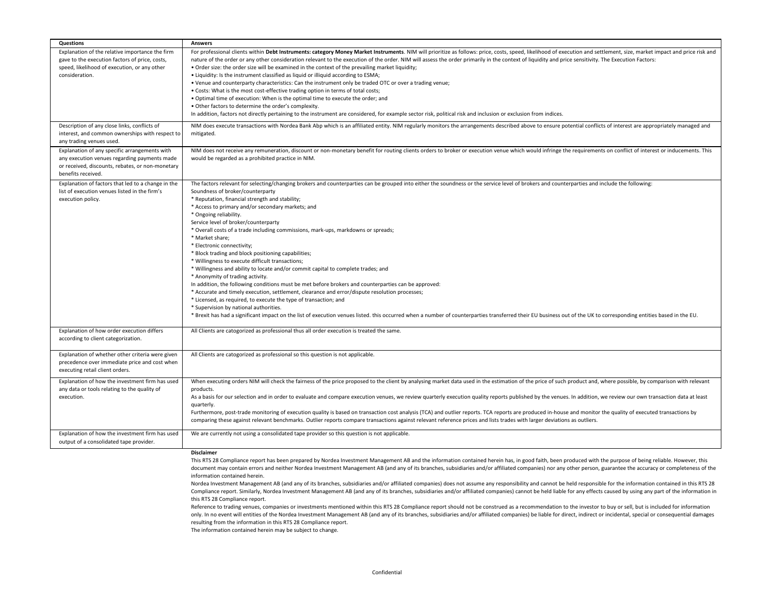| Questions                                                                                                                                                               | <b>Answers</b>                                                                                                                                                                                                                                                                                                                                                                                                                                                                                                                                                                                                                                                                                                                                                                                                                                                                                                                                                                                                                                                                                                                                                                                                                                                                                                                      |
|-------------------------------------------------------------------------------------------------------------------------------------------------------------------------|-------------------------------------------------------------------------------------------------------------------------------------------------------------------------------------------------------------------------------------------------------------------------------------------------------------------------------------------------------------------------------------------------------------------------------------------------------------------------------------------------------------------------------------------------------------------------------------------------------------------------------------------------------------------------------------------------------------------------------------------------------------------------------------------------------------------------------------------------------------------------------------------------------------------------------------------------------------------------------------------------------------------------------------------------------------------------------------------------------------------------------------------------------------------------------------------------------------------------------------------------------------------------------------------------------------------------------------|
| Explanation of the relative importance the firm<br>gave to the execution factors of price, costs,<br>speed, likelihood of execution, or any other<br>consideration.     | For professional clients within Debt Instruments: category Money Market Instruments. NIM will prioritize as follows: price, costs, speed, likelihood of execution and settlement, size, market impact and price risk and<br>nature of the order or any other consideration relevant to the execution of the order. NIM will assess the order primarily in the context of liquidity and price sensitivity. The Execution Factors:<br>. Order size: the order size will be examined in the context of the prevailing market liquidity;<br>. Liquidity: Is the instrument classified as liquid or illiquid according to ESMA;<br>. Venue and counterparty characteristics: Can the instrument only be traded OTC or over a trading venue;<br>. Costs: What is the most cost-effective trading option in terms of total costs;<br>. Optimal time of execution: When is the optimal time to execute the order; and<br>. Other factors to determine the order's complexity.<br>In addition, factors not directly pertaining to the instrument are considered, for example sector risk, political risk and inclusion or exclusion from indices.                                                                                                                                                                                            |
| Description of any close links, conflicts of<br>interest, and common ownerships with respect to<br>any trading venues used.                                             | NIM does execute transactions with Nordea Bank Abp which is an affiliated entity. NIM regularly monitors the arrangements described above to ensure potential conflicts of interest are appropriately managed and<br>mitigated.                                                                                                                                                                                                                                                                                                                                                                                                                                                                                                                                                                                                                                                                                                                                                                                                                                                                                                                                                                                                                                                                                                     |
| Explanation of any specific arrangements with<br>any execution venues regarding payments made<br>or received, discounts, rebates, or non-monetary<br>benefits received. | NIM does not receive any remuneration, discount or non-monetary benefit for routing clients orders to broker or execution venue which would infringe the requirements on conflict of interest or inducements. This<br>would be regarded as a prohibited practice in NIM.                                                                                                                                                                                                                                                                                                                                                                                                                                                                                                                                                                                                                                                                                                                                                                                                                                                                                                                                                                                                                                                            |
| Explanation of factors that led to a change in the<br>list of execution venues listed in the firm's<br>execution policy.                                                | The factors relevant for selecting/changing brokers and counterparties can be grouped into either the soundness or the service level of brokers and counterparties and include the following:<br>Soundness of broker/counterparty<br>* Reputation, financial strength and stability;<br>* Access to primary and/or secondary markets; and<br>* Ongoing reliability.<br>Service level of broker/counterparty<br>* Overall costs of a trade including commissions, mark-ups, markdowns or spreads;<br>* Market share:<br>* Electronic connectivity;<br>* Block trading and block positioning capabilities;<br>* Willingness to execute difficult transactions;<br>* Willingness and ability to locate and/or commit capital to complete trades; and<br>* Anonymity of trading activity.<br>In addition, the following conditions must be met before brokers and counterparties can be approved:<br>* Accurate and timely execution, settlement, clearance and error/dispute resolution processes;<br>* Licensed, as required, to execute the type of transaction; and<br>* Supervision by national authorities.<br>* Brexit has had a significant impact on the list of execution venues listed. this occurred when a number of counterparties transferred their EU business out of the UK to corresponding entities based in the EU. |
| Explanation of how order execution differs<br>according to client categorization.                                                                                       | All Clients are catogorized as professional thus all order execution is treated the same.                                                                                                                                                                                                                                                                                                                                                                                                                                                                                                                                                                                                                                                                                                                                                                                                                                                                                                                                                                                                                                                                                                                                                                                                                                           |
| Explanation of whether other criteria were given<br>precedence over immediate price and cost when<br>executing retail client orders.                                    | All Clients are catogorized as professional so this question is not applicable.                                                                                                                                                                                                                                                                                                                                                                                                                                                                                                                                                                                                                                                                                                                                                                                                                                                                                                                                                                                                                                                                                                                                                                                                                                                     |
| Explanation of how the investment firm has used<br>any data or tools relating to the quality of<br>execution.                                                           | When executing orders NIM will check the fairness of the price proposed to the client by analysing market data used in the estimation of the price of such product and, where possible, by comparison with relevant<br>products.<br>As a basis for our selection and in order to evaluate and compare execution venues, we review quarterly execution quality reports published by the venues. In addition, we review our own transaction data at least<br>quarterly.<br>Furthermore, post-trade monitoring of execution quality is based on transaction cost analysis (TCA) and outlier reports. TCA reports are produced in-house and monitor the quality of executed transactions by<br>comparing these against relevant benchmarks. Outlier reports compare transactions against relevant reference prices and lists trades with larger deviations as outliers.                                                                                                                                                                                                                                                                                                                                                                                                                                                                 |
| Explanation of how the investment firm has used<br>output of a consolidated tape provider.                                                                              | We are currently not using a consolidated tape provider so this question is not applicable.<br><b>Disclaimer</b>                                                                                                                                                                                                                                                                                                                                                                                                                                                                                                                                                                                                                                                                                                                                                                                                                                                                                                                                                                                                                                                                                                                                                                                                                    |
|                                                                                                                                                                         | TL: F                                                                                                                                                                                                                                                                                                                                                                                                                                                                                                                                                                                                                                                                                                                                                                                                                                                                                                                                                                                                                                                                                                                                                                                                                                                                                                                               |

This RTS 28 Compliance report has been prepared by Nordea Investment Management AB and the information contained herein has, in good faith, been produced with the purpose of being reliable. However, this document may contain errors and neither Nordea Investment Management AB (and any of its branches, subsidiaries and/or affiliated companies) nor any other person, guarantee the accuracy or completeness of the information contained herein.

Nordea Investment Management AB (and any of its branches, subsidiaries and/or affiliated companies) does not assume any responsibility and cannot be held responsible for the information contained in this RTS 28 Compliance report. Similarly, Nordea Investment Management AB (and any of its branches, subsidiaries and/or affiliated companies) cannot be held liable for any effects caused by using any part of the information in this RTS 28 Compliance report.

Reference to trading venues, companies or investments mentioned within this RTS 28 Compliance report should not be construed as a recommendation to the investor to buy or sell, but is included for information only. In no event will entities of the Nordea Investment Management AB (and any of its branches, subsidiaries and/or affiliated companies) be liable for direct, indirect or incidental, special or consequential damages resulting from the information in this RTS 28 Compliance report.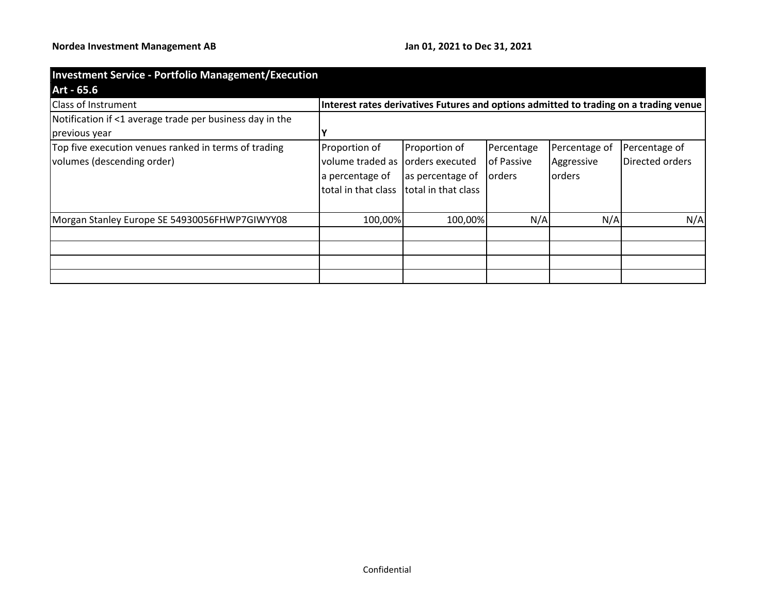| <b>Investment Service - Portfolio Management/Execution</b> |                     |                     |                |                |                                                                                       |
|------------------------------------------------------------|---------------------|---------------------|----------------|----------------|---------------------------------------------------------------------------------------|
| Art - 65.6                                                 |                     |                     |                |                |                                                                                       |
| <b>Class of Instrument</b>                                 |                     |                     |                |                | Interest rates derivatives Futures and options admitted to trading on a trading venue |
| Notification if <1 average trade per business day in the   |                     |                     |                |                |                                                                                       |
| previous year                                              |                     |                     |                |                |                                                                                       |
| Top five execution venues ranked in terms of trading       | Proportion of       | Proportion of       | Percentage     | Percentage of  | Percentage of                                                                         |
| volumes (descending order)                                 | volume traded as    | orders executed     | of Passive     | Aggressive     | Directed orders                                                                       |
|                                                            | a percentage of     | as percentage of    | <b>lorders</b> | <b>lorders</b> |                                                                                       |
|                                                            | total in that class | total in that class |                |                |                                                                                       |
|                                                            |                     |                     |                |                |                                                                                       |
| Morgan Stanley Europe SE 54930056FHWP7GIWYY08              | 100,00%             | 100,00%             | N/A            | N/A            | N/A                                                                                   |
|                                                            |                     |                     |                |                |                                                                                       |
|                                                            |                     |                     |                |                |                                                                                       |
|                                                            |                     |                     |                |                |                                                                                       |
|                                                            |                     |                     |                |                |                                                                                       |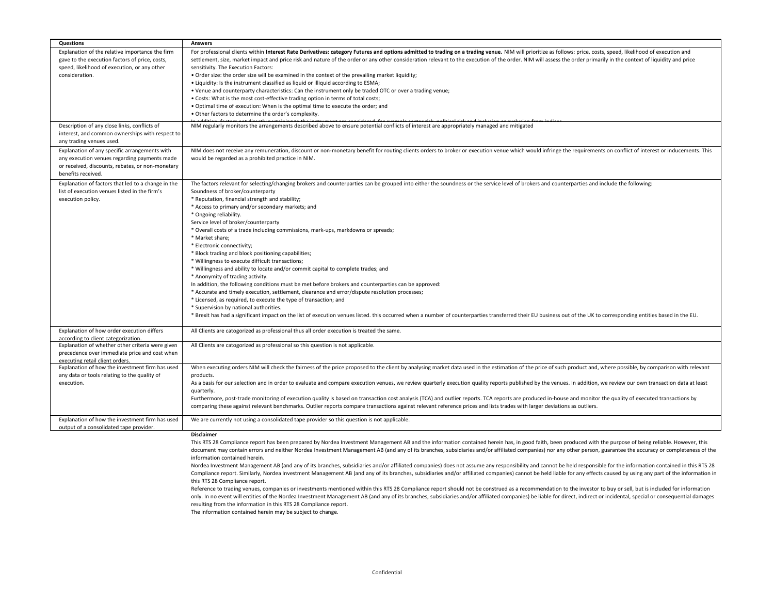| <b>Questions</b>                                                                  | <b>Answers</b>                                                                                                                                                                                                      |
|-----------------------------------------------------------------------------------|---------------------------------------------------------------------------------------------------------------------------------------------------------------------------------------------------------------------|
| Explanation of the relative importance the firm                                   | For professional clients within Interest Rate Derivatives: category Futures and options admitted to trading on a trading venue. NIM will prioritize as follows: price, costs, speed, likelihood of execution and    |
| gave to the execution factors of price, costs,                                    | settlement, size, market impact and price risk and nature of the order or any other consideration relevant to the execution of the order. NIM will assess the order primarily in the context of liquidity and price |
| speed, likelihood of execution, or any other                                      | sensitivity. The Execution Factors:                                                                                                                                                                                 |
| consideration.                                                                    | . Order size: the order size will be examined in the context of the prevailing market liquidity;                                                                                                                    |
|                                                                                   | . Liquidity: Is the instrument classified as liquid or illiquid according to ESMA;                                                                                                                                  |
|                                                                                   | . Venue and counterparty characteristics: Can the instrument only be traded OTC or over a trading venue;                                                                                                            |
|                                                                                   | . Costs: What is the most cost-effective trading option in terms of total costs;                                                                                                                                    |
|                                                                                   | . Optimal time of execution: When is the optimal time to execute the order; and                                                                                                                                     |
|                                                                                   | . Other factors to determine the order's complexity.                                                                                                                                                                |
|                                                                                   |                                                                                                                                                                                                                     |
| Description of any close links, conflicts of                                      | NIM regularly monitors the arrangements described above to ensure potential conflicts of interest are appropriately managed and mitigated                                                                           |
| interest, and common ownerships with respect to                                   |                                                                                                                                                                                                                     |
| any trading venues used.                                                          |                                                                                                                                                                                                                     |
| Explanation of any specific arrangements with                                     | NIM does not receive any remuneration, discount or non-monetary benefit for routing clients orders to broker or execution venue which would infringe the requirements on conflict of interest or inducements. This  |
| any execution venues regarding payments made                                      | would be regarded as a prohibited practice in NIM.                                                                                                                                                                  |
| or received, discounts, rebates, or non-monetary                                  |                                                                                                                                                                                                                     |
| benefits received.                                                                |                                                                                                                                                                                                                     |
| Explanation of factors that led to a change in the                                | The factors relevant for selecting/changing brokers and counterparties can be grouped into either the soundness or the service level of brokers and counterparties and include the following:                       |
| list of execution venues listed in the firm's                                     | Soundness of broker/counterparty                                                                                                                                                                                    |
| execution policy.                                                                 | * Reputation, financial strength and stability;                                                                                                                                                                     |
|                                                                                   | * Access to primary and/or secondary markets; and                                                                                                                                                                   |
|                                                                                   | * Ongoing reliability.                                                                                                                                                                                              |
|                                                                                   |                                                                                                                                                                                                                     |
|                                                                                   | Service level of broker/counterparty                                                                                                                                                                                |
|                                                                                   | * Overall costs of a trade including commissions, mark-ups, markdowns or spreads;                                                                                                                                   |
|                                                                                   | * Market share;                                                                                                                                                                                                     |
|                                                                                   | * Electronic connectivity;                                                                                                                                                                                          |
|                                                                                   | * Block trading and block positioning capabilities;                                                                                                                                                                 |
|                                                                                   | * Willingness to execute difficult transactions;                                                                                                                                                                    |
|                                                                                   | * Willingness and ability to locate and/or commit capital to complete trades; and                                                                                                                                   |
|                                                                                   | * Anonymity of trading activity.                                                                                                                                                                                    |
|                                                                                   | In addition, the following conditions must be met before brokers and counterparties can be approved:                                                                                                                |
|                                                                                   | * Accurate and timely execution, settlement, clearance and error/dispute resolution processes;                                                                                                                      |
|                                                                                   | * Licensed, as required, to execute the type of transaction; and                                                                                                                                                    |
|                                                                                   | * Supervision by national authorities.                                                                                                                                                                              |
|                                                                                   | * Brexit has had a significant impact on the list of execution venues listed. this occurred when a number of counterparties transferred their EU business out of the UK to corresponding entities based in the EU.  |
|                                                                                   |                                                                                                                                                                                                                     |
| Explanation of how order execution differs                                        | All Clients are catogorized as professional thus all order execution is treated the same.                                                                                                                           |
| according to client categorization.                                               |                                                                                                                                                                                                                     |
| Explanation of whether other criteria were given                                  | All Clients are catogorized as professional so this question is not applicable.                                                                                                                                     |
| precedence over immediate price and cost when                                     |                                                                                                                                                                                                                     |
| executing retail client orders<br>Explanation of how the investment firm has used | When executing orders NIM will check the fairness of the price proposed to the client by analysing market data used in the estimation of the price of such product and, where possible, by comparison with relevant |
|                                                                                   | products.                                                                                                                                                                                                           |
| any data or tools relating to the quality of<br>execution.                        | As a basis for our selection and in order to evaluate and compare execution venues, we review quarterly execution quality reports published by the venues. In addition, we review our own transaction data at least |
|                                                                                   |                                                                                                                                                                                                                     |
|                                                                                   | quarterly.                                                                                                                                                                                                          |
|                                                                                   | Furthermore, post-trade monitoring of execution quality is based on transaction cost analysis (TCA) and outlier reports. TCA reports are produced in-house and monitor the quality of executed transactions by      |
|                                                                                   | comparing these against relevant benchmarks. Outlier reports compare transactions against relevant reference prices and lists trades with larger deviations as outliers.                                            |
| Explanation of how the investment firm has used                                   | We are currently not using a consolidated tape provider so this question is not applicable.                                                                                                                         |
| output of a consolidated tape provider.                                           |                                                                                                                                                                                                                     |
|                                                                                   | <b>Disclaimer</b>                                                                                                                                                                                                   |
|                                                                                   | This RTS 28 Compliance report has been prepared by Nordea Investment Management AB and the information contained herein has, in good faith, been produced with the purpose of being reliable. However, this         |
|                                                                                   | document may contain errors and neither Nordea Investment Management AB (and any of its branches, subsidiaries and/or affiliated companies) nor any other person, guarantee the accuracy or completeness of the     |

Nordea Investment Management AB (and any of its branches, subsidiaries and/or affiliated companies) does not assume any responsibility and cannot be held responsible for the information contained in this RTS 28 Compliance report. Similarly, Nordea Investment Management AB (and any of its branches, subsidiaries and/or affiliated companies) cannot be held liable for any effects caused by using any part of the information in this RTS 28 Compliance report.

Reference to trading venues, companies or investments mentioned within this RTS 28 Compliance report should not be construed as a recommendation to the investor to buy or sell, but is included for information only. In no event will entities of the Nordea Investment Management AB (and any of its branches, subsidiaries and/or affiliated companies) be liable for direct, indirect or incidental, special or consequential damages resulting from the information in this RTS 28 Compliance report.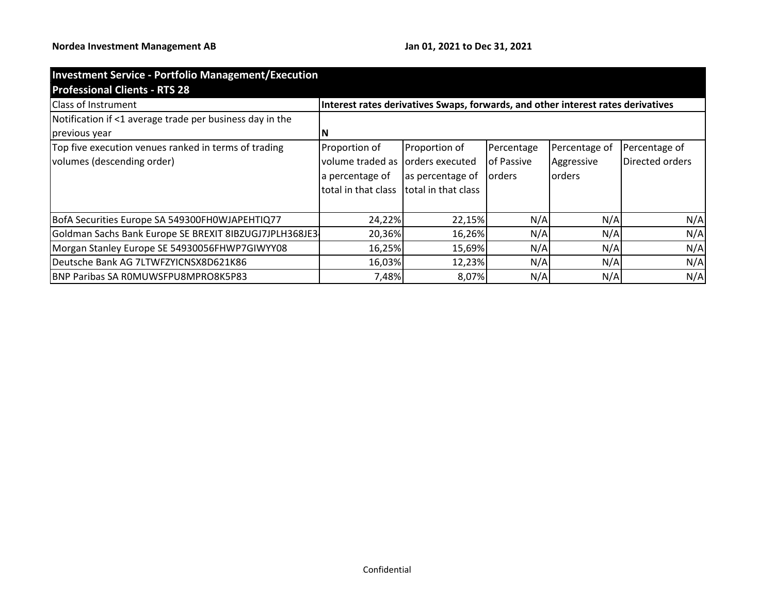| <b>Investment Service - Portfolio Management/Execution</b> |                                                                                  |                     |            |                |                 |
|------------------------------------------------------------|----------------------------------------------------------------------------------|---------------------|------------|----------------|-----------------|
| <b>Professional Clients - RTS 28</b>                       |                                                                                  |                     |            |                |                 |
| <b>Class of Instrument</b>                                 | Interest rates derivatives Swaps, forwards, and other interest rates derivatives |                     |            |                |                 |
| Notification if <1 average trade per business day in the   |                                                                                  |                     |            |                |                 |
| previous year                                              |                                                                                  |                     |            |                |                 |
| Top five execution venues ranked in terms of trading       | Proportion of                                                                    | Proportion of       | Percentage | Percentage of  | Percentage of   |
| volumes (descending order)                                 | volume traded as                                                                 | orders executed     | of Passive | Aggressive     | Directed orders |
|                                                            | a percentage of                                                                  | as percentage of    | orders     | <b>lorders</b> |                 |
|                                                            | total in that class                                                              | total in that class |            |                |                 |
|                                                            |                                                                                  |                     |            |                |                 |
| BofA Securities Europe SA 549300FH0WJAPEHTIQ77             | 24,22%                                                                           | 22,15%              | N/A        | N/A            | N/A             |
| Goldman Sachs Bank Europe SE BREXIT 8IBZUGJ7JPLH368JE3     | 20,36%                                                                           | 16,26%              | N/A        | N/A            | N/A             |
| Morgan Stanley Europe SE 54930056FHWP7GIWYY08              | 16,25%                                                                           | 15,69%              | N/A        | N/A            | N/A             |
| Deutsche Bank AG 7LTWFZYICNSX8D621K86                      | 16,03%                                                                           | 12,23%              | N/A        | N/A            | N/A             |
| <b>IBNP Paribas SA ROMUWSFPU8MPRO8K5P83</b>                | 7,48%                                                                            | 8,07%               | N/A        | N/A            | N/A             |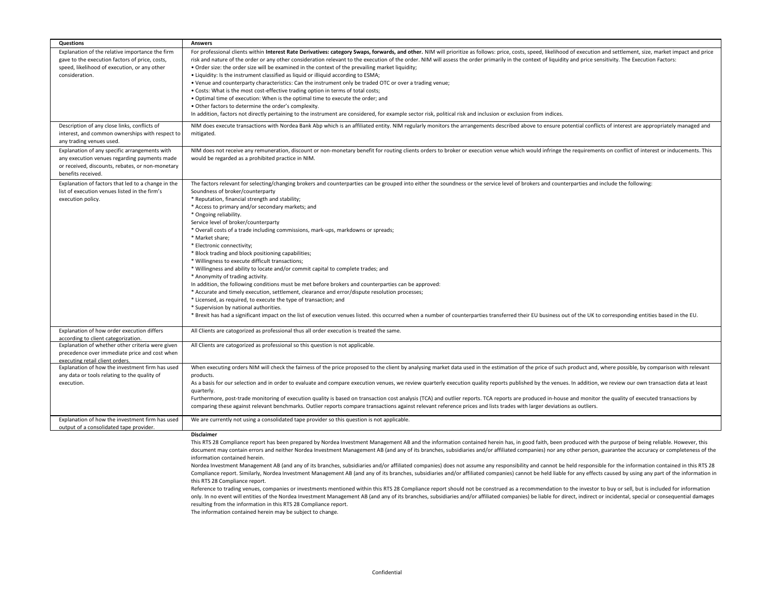| Questions                                                                                                                                                               | <b>Answers</b>                                                                                                                                                                                                                                                                                                                                                                                                                                                                                                                                                                                                                                                                                                                                                                                                                                                                                                                                                                                                                                                                                                                                                                                                                                                                                                                      |
|-------------------------------------------------------------------------------------------------------------------------------------------------------------------------|-------------------------------------------------------------------------------------------------------------------------------------------------------------------------------------------------------------------------------------------------------------------------------------------------------------------------------------------------------------------------------------------------------------------------------------------------------------------------------------------------------------------------------------------------------------------------------------------------------------------------------------------------------------------------------------------------------------------------------------------------------------------------------------------------------------------------------------------------------------------------------------------------------------------------------------------------------------------------------------------------------------------------------------------------------------------------------------------------------------------------------------------------------------------------------------------------------------------------------------------------------------------------------------------------------------------------------------|
| Explanation of the relative importance the firm<br>gave to the execution factors of price, costs,<br>speed, likelihood of execution, or any other<br>consideration.     | For professional clients within Interest Rate Derivatives: category Swaps, forwards, and other. NIM will prioritize as follows: price, costs, speed, likelihood of execution and settlement, size, market impact and price<br>risk and nature of the order or any other consideration relevant to the execution of the order. NIM will assess the order primarily in the context of liquidity and price sensitivity. The Execution Factors:<br>. Order size: the order size will be examined in the context of the prevailing market liquidity;<br>• Liquidity: Is the instrument classified as liquid or illiquid according to ESMA;<br>. Venue and counterparty characteristics: Can the instrument only be traded OTC or over a trading venue;<br>. Costs: What is the most cost-effective trading option in terms of total costs;<br>. Optimal time of execution: When is the optimal time to execute the order; and<br>. Other factors to determine the order's complexity.<br>In addition, factors not directly pertaining to the instrument are considered, for example sector risk, political risk and inclusion or exclusion from indices.                                                                                                                                                                                 |
| Description of any close links, conflicts of<br>interest, and common ownerships with respect to<br>any trading venues used.                                             | NIM does execute transactions with Nordea Bank Abp which is an affiliated entity. NIM regularly monitors the arrangements described above to ensure potential conflicts of interest are appropriately managed and<br>mitigated.                                                                                                                                                                                                                                                                                                                                                                                                                                                                                                                                                                                                                                                                                                                                                                                                                                                                                                                                                                                                                                                                                                     |
| Explanation of any specific arrangements with<br>any execution venues regarding payments made<br>or received, discounts, rebates, or non-monetary<br>benefits received. | NIM does not receive any remuneration, discount or non-monetary benefit for routing clients orders to broker or execution venue which would infringe the requirements on conflict of interest or inducements. This<br>would be regarded as a prohibited practice in NIM.                                                                                                                                                                                                                                                                                                                                                                                                                                                                                                                                                                                                                                                                                                                                                                                                                                                                                                                                                                                                                                                            |
| Explanation of factors that led to a change in the<br>list of execution venues listed in the firm's<br>execution policy.                                                | The factors relevant for selecting/changing brokers and counterparties can be grouped into either the soundness or the service level of brokers and counterparties and include the following:<br>Soundness of broker/counterparty<br>* Reputation, financial strength and stability;<br>* Access to primary and/or secondary markets; and<br>* Ongoing reliability.<br>Service level of broker/counterparty<br>* Overall costs of a trade including commissions, mark-ups, markdowns or spreads;<br>* Market share;<br>* Electronic connectivity;<br>* Block trading and block positioning capabilities;<br>* Willingness to execute difficult transactions;<br>* Willingness and ability to locate and/or commit capital to complete trades; and<br>* Anonymity of trading activity.<br>In addition, the following conditions must be met before brokers and counterparties can be approved:<br>* Accurate and timely execution, settlement, clearance and error/dispute resolution processes;<br>* Licensed, as required, to execute the type of transaction; and<br>* Supervision by national authorities.<br>* Brexit has had a significant impact on the list of execution venues listed. this occurred when a number of counterparties transferred their EU business out of the UK to corresponding entities based in the EU. |
| Explanation of how order execution differs<br>according to client categorization.                                                                                       | All Clients are catogorized as professional thus all order execution is treated the same.                                                                                                                                                                                                                                                                                                                                                                                                                                                                                                                                                                                                                                                                                                                                                                                                                                                                                                                                                                                                                                                                                                                                                                                                                                           |
| Explanation of whether other criteria were given<br>precedence over immediate price and cost when<br>executing retail client orders.                                    | All Clients are catogorized as professional so this question is not applicable.                                                                                                                                                                                                                                                                                                                                                                                                                                                                                                                                                                                                                                                                                                                                                                                                                                                                                                                                                                                                                                                                                                                                                                                                                                                     |
| Explanation of how the investment firm has used                                                                                                                         | When executing orders NIM will check the fairness of the price proposed to the client by analysing market data used in the estimation of the price of such product and, where possible, by comparison with relevant                                                                                                                                                                                                                                                                                                                                                                                                                                                                                                                                                                                                                                                                                                                                                                                                                                                                                                                                                                                                                                                                                                                 |
| any data or tools relating to the quality of<br>execution.                                                                                                              | products.<br>As a basis for our selection and in order to evaluate and compare execution venues, we review quarterly execution quality reports published by the venues. In addition, we review our own transaction data at least<br>quarterly.<br>Furthermore, post-trade monitoring of execution quality is based on transaction cost analysis (TCA) and outlier reports. TCA reports are produced in-house and monitor the quality of executed transactions by<br>comparing these against relevant benchmarks. Outlier reports compare transactions against relevant reference prices and lists trades with larger deviations as outliers.                                                                                                                                                                                                                                                                                                                                                                                                                                                                                                                                                                                                                                                                                        |
| Explanation of how the investment firm has used<br>output of a consolidated tape provider.                                                                              | We are currently not using a consolidated tape provider so this question is not applicable.                                                                                                                                                                                                                                                                                                                                                                                                                                                                                                                                                                                                                                                                                                                                                                                                                                                                                                                                                                                                                                                                                                                                                                                                                                         |
|                                                                                                                                                                         | Disclaimer<br>This RTS 28 Compliance report has been prepared by Nordea Investment Management AB and the information contained herein has, in good faith, been produced with the purpose of being reliable. However, this                                                                                                                                                                                                                                                                                                                                                                                                                                                                                                                                                                                                                                                                                                                                                                                                                                                                                                                                                                                                                                                                                                           |

document may contain errors and neither Nordea Investment Management AB (and any of its branches, subsidiaries and/or affiliated companies) nor any other person, guarantee the accuracy or completeness of the information contained herein.

Nordea Investment Management AB (and any of its branches, subsidiaries and/or affiliated companies) does not assume any responsibility and cannot be held responsible for the information contained in this RTS 28 Compliance report. Similarly, Nordea Investment Management AB (and any of its branches, subsidiaries and/or affiliated companies) cannot be held liable for any effects caused by using any part of the information in this RTS 28 Compliance report.

Reference to trading venues, companies or investments mentioned within this RTS 28 Compliance report should not be construed as a recommendation to the investor to buy or sell, but is included for information only. In no event will entities of the Nordea Investment Management AB (and any of its branches, subsidiaries and/or affiliated companies) be liable for direct, indirect or incidental, special or consequential damages resulting from the information in this RTS 28 Compliance report.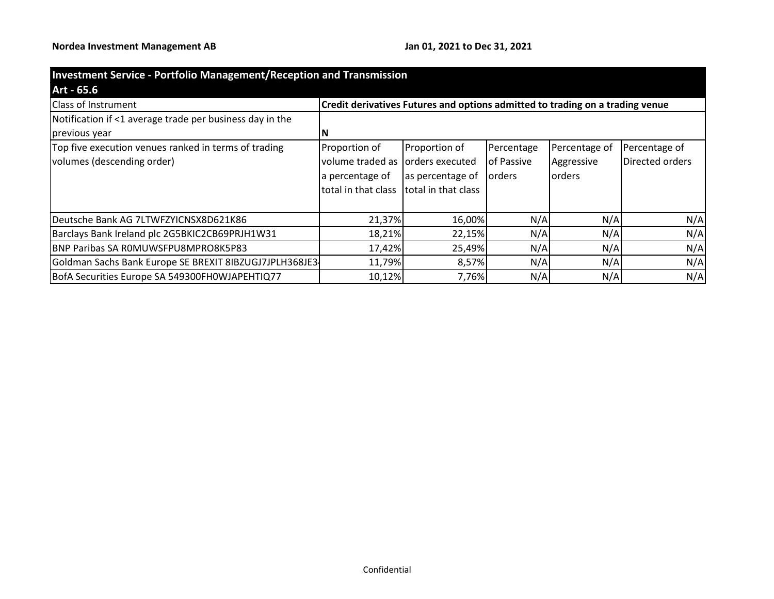| <b>Investment Service - Portfolio Management/Reception and Transmission</b> |                                                                               |                     |                |               |                 |
|-----------------------------------------------------------------------------|-------------------------------------------------------------------------------|---------------------|----------------|---------------|-----------------|
| Art - 65.6                                                                  |                                                                               |                     |                |               |                 |
| Class of Instrument                                                         | Credit derivatives Futures and options admitted to trading on a trading venue |                     |                |               |                 |
| Notification if <1 average trade per business day in the                    |                                                                               |                     |                |               |                 |
| previous year                                                               |                                                                               |                     |                |               |                 |
| Top five execution venues ranked in terms of trading                        | Proportion of                                                                 | Proportion of       | Percentage     | Percentage of | Percentage of   |
| volumes (descending order)                                                  | volume traded as                                                              | orders executed     | of Passive     | Aggressive    | Directed orders |
|                                                                             | a percentage of                                                               | as percentage of    | <b>lorders</b> | lorders       |                 |
|                                                                             | total in that class                                                           | total in that class |                |               |                 |
|                                                                             |                                                                               |                     |                |               |                 |
| Deutsche Bank AG 7LTWFZYICNSX8D621K86                                       | 21,37%                                                                        | 16,00%              | N/A            | N/A           | N/A             |
| Barclays Bank Ireland plc 2G5BKIC2CB69PRJH1W31                              | 18,21%                                                                        | 22,15%              | N/A            | N/A           | N/A             |
| <b>BNP Paribas SA ROMUWSFPU8MPRO8K5P83</b>                                  | 17,42%                                                                        | 25,49%              | N/A            | N/A           | N/A             |
| Goldman Sachs Bank Europe SE BREXIT 8IBZUGJ7JPLH368JE3                      | 11,79%                                                                        | 8,57%               | N/A            | N/A           | N/A             |
| BofA Securities Europe SA 549300FH0WJAPEHTIQ77                              | 10,12%                                                                        | 7,76%               | N/A            | N/A           | N/A             |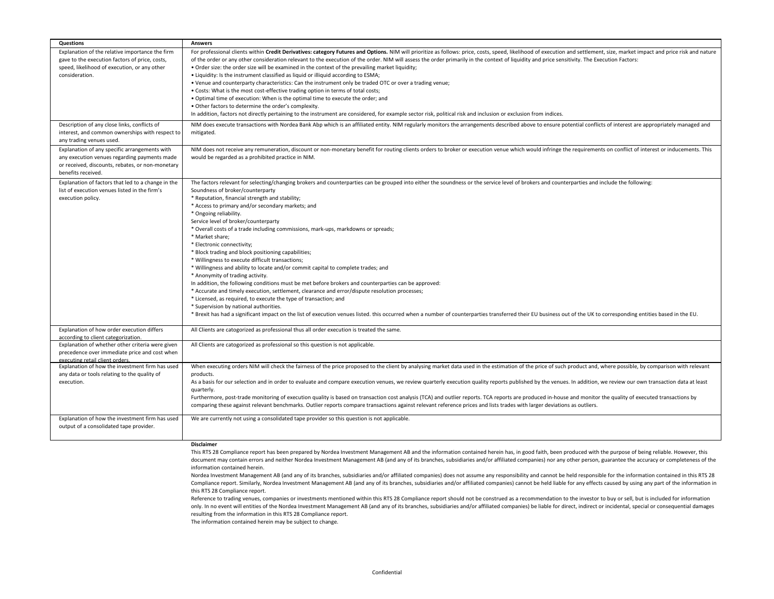| <b>Questions</b>                                   | <b>Answers</b>                                                                                                                                                                                                               |
|----------------------------------------------------|------------------------------------------------------------------------------------------------------------------------------------------------------------------------------------------------------------------------------|
| Explanation of the relative importance the firm    | For professional clients within Credit Derivatives: category Futures and Options. NIM will prioritize as follows: price, costs, speed, likelihood of execution and settlement, size, market impact and price risk and nature |
| gave to the execution factors of price, costs,     | of the order or any other consideration relevant to the execution of the order. NIM will assess the order primarily in the context of liquidity and price sensitivity. The Execution Factors:                                |
| speed, likelihood of execution, or any other       | . Order size: the order size will be examined in the context of the prevailing market liquidity;                                                                                                                             |
| consideration.                                     | . Liquidity: Is the instrument classified as liquid or illiquid according to ESMA;                                                                                                                                           |
|                                                    | . Venue and counterparty characteristics: Can the instrument only be traded OTC or over a trading venue;                                                                                                                     |
|                                                    | • Costs: What is the most cost-effective trading option in terms of total costs;                                                                                                                                             |
|                                                    | . Optimal time of execution: When is the optimal time to execute the order; and                                                                                                                                              |
|                                                    | . Other factors to determine the order's complexity.                                                                                                                                                                         |
|                                                    | In addition, factors not directly pertaining to the instrument are considered, for example sector risk, political risk and inclusion or exclusion from indices.                                                              |
| Description of any close links, conflicts of       | NIM does execute transactions with Nordea Bank Abp which is an affiliated entity. NIM regularly monitors the arrangements described above to ensure potential conflicts of interest are appropriately managed and            |
| interest, and common ownerships with respect to    | mitigated.                                                                                                                                                                                                                   |
| any trading venues used.                           |                                                                                                                                                                                                                              |
| Explanation of any specific arrangements with      | NIM does not receive any remuneration, discount or non-monetary benefit for routing clients orders to broker or execution venue which would infringe the requirements on conflict of interest or inducements. This           |
| any execution venues regarding payments made       | would be regarded as a prohibited practice in NIM.                                                                                                                                                                           |
| or received, discounts, rebates, or non-monetary   |                                                                                                                                                                                                                              |
| benefits received.                                 |                                                                                                                                                                                                                              |
| Explanation of factors that led to a change in the | The factors relevant for selecting/changing brokers and counterparties can be grouped into either the soundness or the service level of brokers and counterparties and include the following:                                |
| list of execution venues listed in the firm's      | Soundness of broker/counterparty                                                                                                                                                                                             |
| execution policy.                                  | * Reputation, financial strength and stability;                                                                                                                                                                              |
|                                                    | * Access to primary and/or secondary markets; and                                                                                                                                                                            |
|                                                    | * Ongoing reliability.                                                                                                                                                                                                       |
|                                                    | Service level of broker/counterparty                                                                                                                                                                                         |
|                                                    | * Overall costs of a trade including commissions, mark-ups, markdowns or spreads;                                                                                                                                            |
|                                                    | * Market share:                                                                                                                                                                                                              |
|                                                    | * Electronic connectivity;                                                                                                                                                                                                   |
|                                                    | * Block trading and block positioning capabilities;                                                                                                                                                                          |
|                                                    | * Willingness to execute difficult transactions;                                                                                                                                                                             |
|                                                    | * Willingness and ability to locate and/or commit capital to complete trades; and                                                                                                                                            |
|                                                    | * Anonymity of trading activity.                                                                                                                                                                                             |
|                                                    | In addition, the following conditions must be met before brokers and counterparties can be approved:                                                                                                                         |
|                                                    | * Accurate and timely execution, settlement, clearance and error/dispute resolution processes;                                                                                                                               |
|                                                    | * Licensed, as required, to execute the type of transaction; and                                                                                                                                                             |
|                                                    | * Supervision by national authorities.                                                                                                                                                                                       |
|                                                    | * Brexit has had a significant impact on the list of execution venues listed. this occurred when a number of counterparties transferred their EU business out of the UK to corresponding entities based in the EU.           |
| Explanation of how order execution differs         | All Clients are catogorized as professional thus all order execution is treated the same.                                                                                                                                    |
| according to client categorization.                |                                                                                                                                                                                                                              |
| Explanation of whether other criteria were given   | All Clients are catogorized as professional so this question is not applicable.                                                                                                                                              |
| precedence over immediate price and cost when      |                                                                                                                                                                                                                              |
| executing retail client orders.                    |                                                                                                                                                                                                                              |
| Explanation of how the investment firm has used    | When executing orders NIM will check the fairness of the price proposed to the client by analysing market data used in the estimation of the price of such product and, where possible, by comparison with relevant          |
| any data or tools relating to the quality of       | products.                                                                                                                                                                                                                    |
| execution.                                         | As a basis for our selection and in order to evaluate and compare execution venues, we review quarterly execution quality reports published by the venues. In addition, we review our own transaction data at least          |
|                                                    | quarterly.                                                                                                                                                                                                                   |
|                                                    | Furthermore, post-trade monitoring of execution quality is based on transaction cost analysis (TCA) and outlier reports. TCA reports are produced in-house and monitor the quality of executed transactions by               |
|                                                    | comparing these against relevant benchmarks. Outlier reports compare transactions against relevant reference prices and lists trades with larger deviations as outliers.                                                     |
| Explanation of how the investment firm has used    | We are currently not using a consolidated tape provider so this question is not applicable.                                                                                                                                  |
| output of a consolidated tape provider.            |                                                                                                                                                                                                                              |
|                                                    |                                                                                                                                                                                                                              |
|                                                    | <b>Disclaimer</b>                                                                                                                                                                                                            |
|                                                    | This RTS 28 Compliance report has been prepared by Nordea Investment Management AB and the information contained herein has, in good faith, been produced with the purpose of being reliable. However, this                  |

document may contain errors and neither Nordea Investment Management AB (and any of its branches, subsidiaries and/or affiliated companies) nor any other person, guarantee the accuracy or completeness of the information contained herein.

Nordea Investment Management AB (and any of its branches, subsidiaries and/or affiliated companies) does not assume any responsibility and cannot be held responsible for the information contained in this RTS 28 Compliance report. Similarly, Nordea Investment Management AB (and any of its branches, subsidiaries and/or affiliated companies) cannot be held liable for any effects caused by using any part of the information in this RTS 28 Compliance report.

Reference to trading venues, companies or investments mentioned within this RTS 28 Compliance report should not be construed as a recommendation to the investor to buy or sell, but is included for information only. In no event will entities of the Nordea Investment Management AB (and any of its branches, subsidiaries and/or affiliated companies) be liable for direct, indirect or incidental, special or consequential damages resulting from the information in this RTS 28 Compliance report.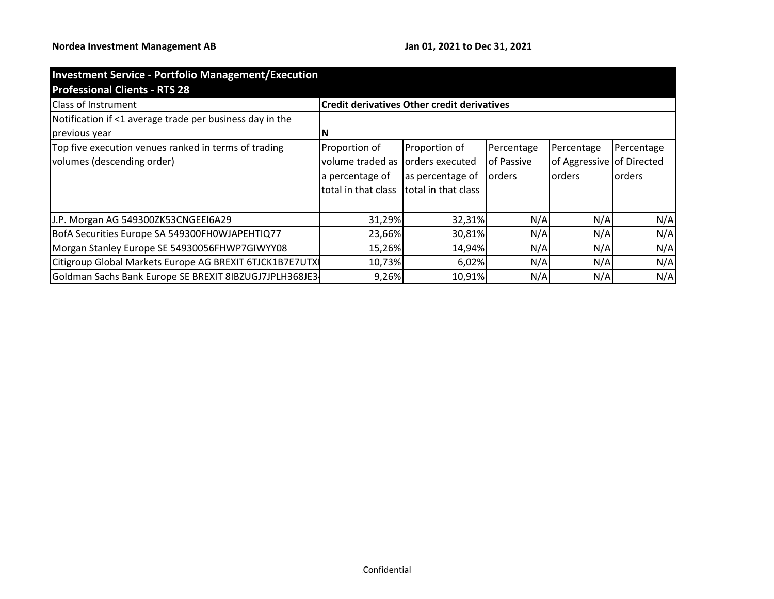| <b>Investment Service - Portfolio Management/Execution</b> |                     |                                                    |               |                           |                |  |  |
|------------------------------------------------------------|---------------------|----------------------------------------------------|---------------|---------------------------|----------------|--|--|
| <b>Professional Clients - RTS 28</b>                       |                     |                                                    |               |                           |                |  |  |
| <b>Class of Instrument</b>                                 |                     | <b>Credit derivatives Other credit derivatives</b> |               |                           |                |  |  |
| Notification if <1 average trade per business day in the   |                     |                                                    |               |                           |                |  |  |
| previous year                                              |                     |                                                    |               |                           |                |  |  |
| Top five execution venues ranked in terms of trading       | Proportion of       | Proportion of                                      | Percentage    | Percentage                | Percentage     |  |  |
| volumes (descending order)                                 | volume traded as    | orders executed                                    | of Passive    | of Aggressive of Directed |                |  |  |
|                                                            | a percentage of     | as percentage of                                   | <b>orders</b> | lorders                   | <b>lorders</b> |  |  |
|                                                            | total in that class | Itotal in that class                               |               |                           |                |  |  |
|                                                            |                     |                                                    |               |                           |                |  |  |
| J.P. Morgan AG 549300ZK53CNGEEI6A29                        | 31,29%              | 32,31%                                             | N/A           | N/A                       | N/A            |  |  |
| BofA Securities Europe SA 549300FH0WJAPEHTIQ77             | 23,66%              | 30,81%                                             | N/A           | N/A                       | N/A            |  |  |
| Morgan Stanley Europe SE 54930056FHWP7GIWYY08              | 15,26%              | 14,94%                                             | N/A           | N/A                       | N/A            |  |  |
| Citigroup Global Markets Europe AG BREXIT 6TJCK1B7E7UTX    | 10,73%              | 6,02%                                              | N/A           | N/A                       | N/A            |  |  |
| Goldman Sachs Bank Europe SE BREXIT 8IBZUGJ7JPLH368JE3     | 9,26%               | 10,91%                                             | N/A           | N/A                       | N/A            |  |  |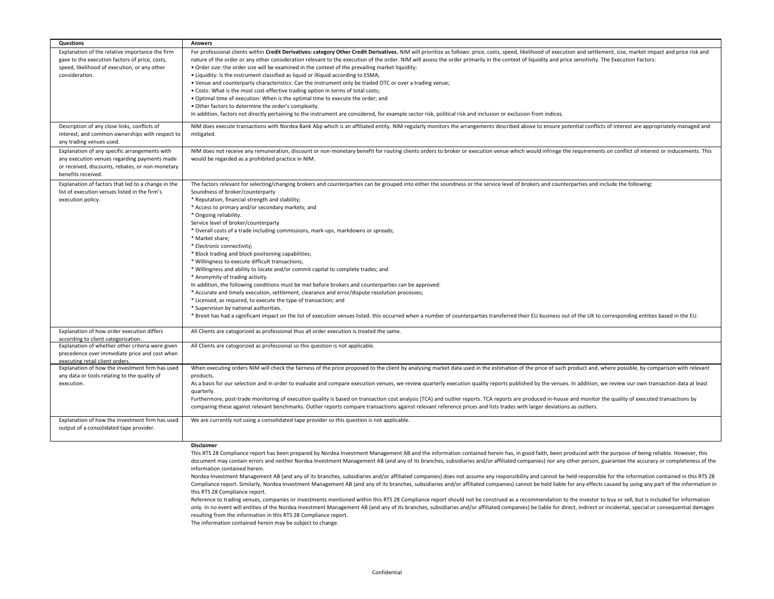| <b>Questions</b>                                                                                                                                                        | <b>Answers</b>                                                                                                                                                                                                                                                                                                                                                                                                                                                                                                                                                                                                                                                                                                                                                                                                                                                                                                                                                                                                                                                                                                                                                                                                                                                                                                                      |
|-------------------------------------------------------------------------------------------------------------------------------------------------------------------------|-------------------------------------------------------------------------------------------------------------------------------------------------------------------------------------------------------------------------------------------------------------------------------------------------------------------------------------------------------------------------------------------------------------------------------------------------------------------------------------------------------------------------------------------------------------------------------------------------------------------------------------------------------------------------------------------------------------------------------------------------------------------------------------------------------------------------------------------------------------------------------------------------------------------------------------------------------------------------------------------------------------------------------------------------------------------------------------------------------------------------------------------------------------------------------------------------------------------------------------------------------------------------------------------------------------------------------------|
| Explanation of the relative importance the firm<br>gave to the execution factors of price, costs,<br>speed, likelihood of execution, or any other<br>consideration.     | For professional clients within Credit Derivatives: category Other Credit Derivatives. NIM will prioritize as follows: price, costs, speed, likelihood of execution and settlement, size, market impact and price risk and<br>nature of the order or any other consideration relevant to the execution of the order. NIM will assess the order primarily in the context of liquidity and price sensitivity. The Execution Factors:<br>. Order size: the order size will be examined in the context of the prevailing market liquidity;<br>. Liquidity: Is the instrument classified as liquid or illiquid according to ESMA;<br>. Venue and counterparty characteristics: Can the instrument only be traded OTC or over a trading venue;<br>. Costs: What is the most cost-effective trading option in terms of total costs;<br>. Optimal time of execution: When is the optimal time to execute the order; and<br>. Other factors to determine the order's complexity.<br>In addition, factors not directly pertaining to the instrument are considered, for example sector risk, political risk and inclusion or exclusion from indices.                                                                                                                                                                                          |
| Description of any close links, conflicts of<br>interest, and common ownerships with respect to<br>any trading venues used.                                             | NIM does execute transactions with Nordea Bank Abp which is an affiliated entity. NIM regularly monitors the arrangements described above to ensure potential conflicts of interest are appropriately managed and<br>mitigated.                                                                                                                                                                                                                                                                                                                                                                                                                                                                                                                                                                                                                                                                                                                                                                                                                                                                                                                                                                                                                                                                                                     |
| Explanation of any specific arrangements with<br>any execution venues regarding payments made<br>or received, discounts, rebates, or non-monetary<br>benefits received. | NIM does not receive any remuneration, discount or non-monetary benefit for routing clients orders to broker or execution venue which would infringe the requirements on conflict of interest or inducements. This<br>would be regarded as a prohibited practice in NIM.                                                                                                                                                                                                                                                                                                                                                                                                                                                                                                                                                                                                                                                                                                                                                                                                                                                                                                                                                                                                                                                            |
| Explanation of factors that led to a change in the<br>list of execution venues listed in the firm's<br>execution policy.                                                | The factors relevant for selecting/changing brokers and counterparties can be grouped into either the soundness or the service level of brokers and counterparties and include the following:<br>Soundness of broker/counterparty<br>* Reputation, financial strength and stability;<br>* Access to primary and/or secondary markets; and<br>* Ongoing reliability.<br>Service level of broker/counterparty<br>* Overall costs of a trade including commissions, mark-ups, markdowns or spreads;<br>* Market share;<br>* Electronic connectivity;<br>* Block trading and block positioning capabilities;<br>* Willingness to execute difficult transactions;<br>* Willingness and ability to locate and/or commit capital to complete trades; and<br>* Anonymity of trading activity.<br>In addition, the following conditions must be met before brokers and counterparties can be approved:<br>* Accurate and timely execution, settlement, clearance and error/dispute resolution processes;<br>* Licensed, as required, to execute the type of transaction; and<br>* Supervision by national authorities.<br>* Brexit has had a significant impact on the list of execution venues listed. this occurred when a number of counterparties transferred their EU business out of the UK to corresponding entities based in the EU. |
| Explanation of how order execution differs<br>according to client categorization.<br>Explanation of whether other criteria were given                                   | All Clients are catogorized as professional thus all order execution is treated the same.<br>All Clients are catogorized as professional so this question is not applicable.                                                                                                                                                                                                                                                                                                                                                                                                                                                                                                                                                                                                                                                                                                                                                                                                                                                                                                                                                                                                                                                                                                                                                        |
| precedence over immediate price and cost when<br>executing retail client orders.                                                                                        |                                                                                                                                                                                                                                                                                                                                                                                                                                                                                                                                                                                                                                                                                                                                                                                                                                                                                                                                                                                                                                                                                                                                                                                                                                                                                                                                     |
| Explanation of how the investment firm has used<br>any data or tools relating to the quality of<br>execution.                                                           | When executing orders NIM will check the fairness of the price proposed to the client by analysing market data used in the estimation of the price of such product and, where possible, by comparison with relevant<br>products.<br>As a basis for our selection and in order to evaluate and compare execution venues, we review quarterly execution quality reports published by the venues. In addition, we review our own transaction data at least<br>quarterly.<br>Furthermore, post-trade monitoring of execution quality is based on transaction cost analysis (TCA) and outlier reports. TCA reports are produced in-house and monitor the quality of executed transactions by<br>comparing these against relevant benchmarks. Outlier reports compare transactions against relevant reference prices and lists trades with larger deviations as outliers.                                                                                                                                                                                                                                                                                                                                                                                                                                                                 |
| Explanation of how the investment firm has used<br>output of a consolidated tape provider.                                                                              | We are currently not using a consolidated tape provider so this question is not applicable.<br><b>Disclaimer</b>                                                                                                                                                                                                                                                                                                                                                                                                                                                                                                                                                                                                                                                                                                                                                                                                                                                                                                                                                                                                                                                                                                                                                                                                                    |

This RTS 28 Compliance report has been prepared by Nordea Investment Management AB and the information contained herein has, in good faith, been produced with the purpose of being reliable. However, this document may contain errors and neither Nordea Investment Management AB (and any of its branches, subsidiaries and/or affiliated companies) nor any other person, guarantee the accuracy or completeness of the information contained herein.

Nordea Investment Management AB (and any of its branches, subsidiaries and/or affiliated companies) does not assume any responsibility and cannot be held responsible for the information contained in this RTS 28 Compliance report. Similarly, Nordea Investment Management AB (and any of its branches, subsidiaries and/or affiliated companies) cannot be held liable for any effects caused by using any part of the information in this RTS 28 Compliance report.

Reference to trading venues, companies or investments mentioned within this RTS 28 Compliance report should not be construed as a recommendation to the investor to buy or sell, but is included for information only. In no event will entities of the Nordea Investment Management AB (and any of its branches, subsidiaries and/or affiliated companies) be liable for direct, indirect or incidental, special or consequential damages resulting from the information in this RTS 28 Compliance report.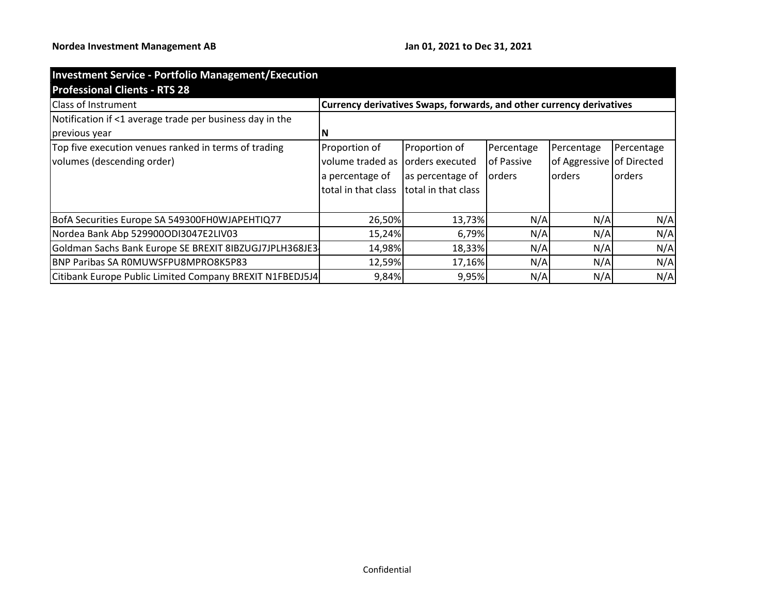| <b>Investment Service - Portfolio Management/Execution</b> |                                                                      |                     |                |                           |            |  |  |
|------------------------------------------------------------|----------------------------------------------------------------------|---------------------|----------------|---------------------------|------------|--|--|
| <b>Professional Clients - RTS 28</b>                       |                                                                      |                     |                |                           |            |  |  |
| <b>Class of Instrument</b>                                 | Currency derivatives Swaps, forwards, and other currency derivatives |                     |                |                           |            |  |  |
| Notification if <1 average trade per business day in the   |                                                                      |                     |                |                           |            |  |  |
| previous year                                              |                                                                      |                     |                |                           |            |  |  |
| Top five execution venues ranked in terms of trading       | Proportion of                                                        | Proportion of       | Percentage     | Percentage                | Percentage |  |  |
| volumes (descending order)                                 | volume traded as                                                     | orders executed     | of Passive     | of Aggressive of Directed |            |  |  |
|                                                            | a percentage of                                                      | as percentage of    | <b>lorders</b> | lorders                   | lorders    |  |  |
|                                                            | total in that class                                                  | total in that class |                |                           |            |  |  |
|                                                            |                                                                      |                     |                |                           |            |  |  |
| BofA Securities Europe SA 549300FH0WJAPEHTIQ77             | 26,50%                                                               | 13,73%              | N/A            | N/A                       | N/A        |  |  |
| Nordea Bank Abp 529900ODI3047E2LIV03                       | 15,24%                                                               | 6,79%               | N/A            | N/A                       | N/A        |  |  |
| Goldman Sachs Bank Europe SE BREXIT 8IBZUGJ7JPLH368JE3     | 14,98%                                                               | 18,33%              | N/A            | N/A                       | N/A        |  |  |
| BNP Paribas SA ROMUWSFPU8MPRO8K5P83                        | 12,59%                                                               | 17,16%              | N/A            | N/A                       | N/A        |  |  |
| Citibank Europe Public Limited Company BREXIT N1FBEDJ5J4   | 9,84%                                                                | 9,95%               | N/A            | N/A                       | N/A        |  |  |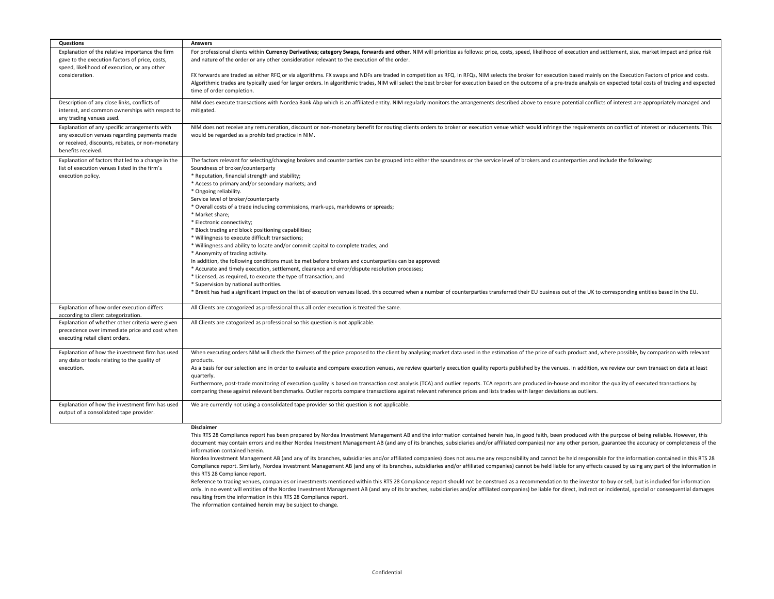| Questions                                                                                                                                                               | <b>Answers</b>                                                                                                                                                                                                                                                                                                                                                                                                                                                                                                                                                                                                                                                                                                                                                                                                                                                                                                                                                                                                                                                                                                                                                                                                                                                                                                                      |
|-------------------------------------------------------------------------------------------------------------------------------------------------------------------------|-------------------------------------------------------------------------------------------------------------------------------------------------------------------------------------------------------------------------------------------------------------------------------------------------------------------------------------------------------------------------------------------------------------------------------------------------------------------------------------------------------------------------------------------------------------------------------------------------------------------------------------------------------------------------------------------------------------------------------------------------------------------------------------------------------------------------------------------------------------------------------------------------------------------------------------------------------------------------------------------------------------------------------------------------------------------------------------------------------------------------------------------------------------------------------------------------------------------------------------------------------------------------------------------------------------------------------------|
| Explanation of the relative importance the firm<br>gave to the execution factors of price, costs,<br>speed, likelihood of execution, or any other<br>consideration.     | For professional clients within Currency Derivatives; category Swaps, forwards and other. NIM will prioritize as follows: price, costs, speed, likelihood of execution and settlement, size, market impact and price risk<br>and nature of the order or any other consideration relevant to the execution of the order.<br>FX forwards are traded as either RFQ or via algorithms. FX swaps and NDFs are traded in competition as RFQ. In RFQs, NIM selects the broker for execution based mainly on the Execution Factors of price and costs.<br>Algorithmic trades are typically used for larger orders. In algorithmic trades, NIM will select the best broker for execution based on the outcome of a pre-trade analysis on expected total costs of trading and expected<br>time of order completion.                                                                                                                                                                                                                                                                                                                                                                                                                                                                                                                           |
| Description of any close links, conflicts of<br>interest, and common ownerships with respect to<br>any trading venues used.                                             | NIM does execute transactions with Nordea Bank Abp which is an affiliated entity. NIM regularly monitors the arrangements described above to ensure potential conflicts of interest are appropriately managed and<br>mitigated.                                                                                                                                                                                                                                                                                                                                                                                                                                                                                                                                                                                                                                                                                                                                                                                                                                                                                                                                                                                                                                                                                                     |
| Explanation of any specific arrangements with<br>any execution venues regarding payments made<br>or received, discounts, rebates, or non-monetary<br>benefits received. | NIM does not receive any remuneration, discount or non-monetary benefit for routing clients orders to broker or execution venue which would infringe the requirements on conflict of interest or inducements. This<br>would be regarded as a prohibited practice in NIM.                                                                                                                                                                                                                                                                                                                                                                                                                                                                                                                                                                                                                                                                                                                                                                                                                                                                                                                                                                                                                                                            |
| Explanation of factors that led to a change in the<br>list of execution venues listed in the firm's<br>execution policy.                                                | The factors relevant for selecting/changing brokers and counterparties can be grouped into either the soundness or the service level of brokers and counterparties and include the following:<br>Soundness of broker/counterparty<br>* Reputation, financial strength and stability;<br>* Access to primary and/or secondary markets; and<br>* Ongoing reliability.<br>Service level of broker/counterparty<br>* Overall costs of a trade including commissions, mark-ups, markdowns or spreads;<br>* Market share;<br>* Electronic connectivity;<br>* Block trading and block positioning capabilities;<br>* Willingness to execute difficult transactions;<br>* Willingness and ability to locate and/or commit capital to complete trades; and<br>* Anonymity of trading activity.<br>In addition, the following conditions must be met before brokers and counterparties can be approved:<br>* Accurate and timely execution, settlement, clearance and error/dispute resolution processes;<br>* Licensed, as required, to execute the type of transaction; and<br>* Supervision by national authorities.<br>* Brexit has had a significant impact on the list of execution venues listed. this occurred when a number of counterparties transferred their EU business out of the UK to corresponding entities based in the EU. |
| Explanation of how order execution differs<br>according to client categorization.                                                                                       | All Clients are catogorized as professional thus all order execution is treated the same.                                                                                                                                                                                                                                                                                                                                                                                                                                                                                                                                                                                                                                                                                                                                                                                                                                                                                                                                                                                                                                                                                                                                                                                                                                           |
| Explanation of whether other criteria were given<br>precedence over immediate price and cost when<br>executing retail client orders.                                    | All Clients are catogorized as professional so this question is not applicable.                                                                                                                                                                                                                                                                                                                                                                                                                                                                                                                                                                                                                                                                                                                                                                                                                                                                                                                                                                                                                                                                                                                                                                                                                                                     |
| Explanation of how the investment firm has used<br>any data or tools relating to the quality of<br>execution.                                                           | When executing orders NIM will check the fairness of the price proposed to the client by analysing market data used in the estimation of the price of such product and, where possible, by comparison with relevant<br>products.<br>As a basis for our selection and in order to evaluate and compare execution venues, we review quarterly execution quality reports published by the venues. In addition, we review our own transaction data at least<br>quarterly.<br>Furthermore, post-trade monitoring of execution quality is based on transaction cost analysis (TCA) and outlier reports. TCA reports are produced in-house and monitor the quality of executed transactions by<br>comparing these against relevant benchmarks. Outlier reports compare transactions against relevant reference prices and lists trades with larger deviations as outliers.                                                                                                                                                                                                                                                                                                                                                                                                                                                                 |
| Explanation of how the investment firm has used<br>output of a consolidated tape provider.                                                                              | We are currently not using a consolidated tape provider so this question is not applicable.                                                                                                                                                                                                                                                                                                                                                                                                                                                                                                                                                                                                                                                                                                                                                                                                                                                                                                                                                                                                                                                                                                                                                                                                                                         |
|                                                                                                                                                                         | Disclaimer<br>This RTS 28 Compliance report has been prepared by Nordea Investment Management AB and the information contained herein has, in good faith, been produced with the purpose of being reliable. However, this<br>document may contain errors and neither Nordea Investment Management AB (and any of its branches, subsidiaries and/or affiliated companies) nor any other person, guarantee the accuracy or completeness of the                                                                                                                                                                                                                                                                                                                                                                                                                                                                                                                                                                                                                                                                                                                                                                                                                                                                                        |

Nordea Investment Management AB (and any of its branches, subsidiaries and/or affiliated companies) does not assume any responsibility and cannot be held responsible for the information contained in this RTS 28 Compliance report. Similarly, Nordea Investment Management AB (and any of its branches, subsidiaries and/or affiliated companies) cannot be held liable for any effects caused by using any part of the information in this RTS 28 Compliance report.

Reference to trading venues, companies or investments mentioned within this RTS 28 Compliance report should not be construed as a recommendation to the investor to buy or sell, but is included for information only. In no event will entities of the Nordea Investment Management AB (and any of its branches, subsidiaries and/or affiliated companies) be liable for direct, indirect or incidental, special or consequential damages resulting from the information in this RTS 28 Compliance report.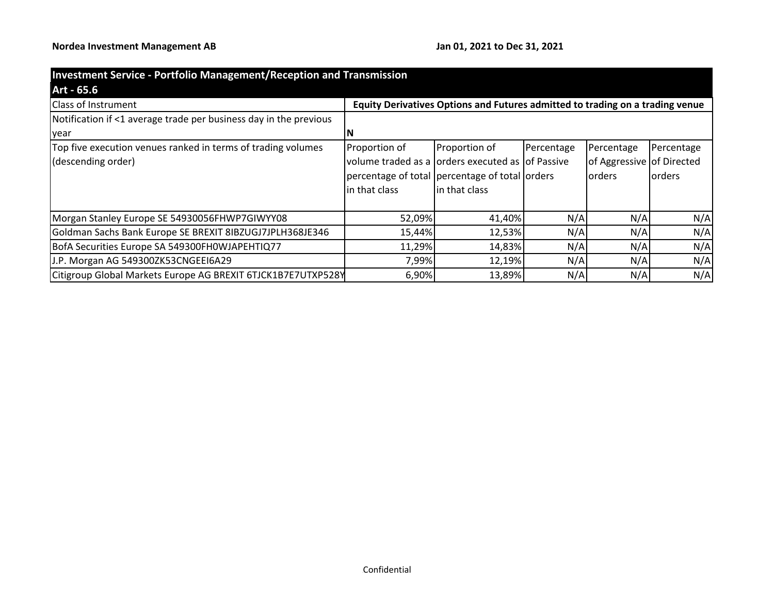| <b>Investment Service - Portfolio Management/Reception and Transmission</b> |                                                                               |                |            |                           |            |  |  |  |
|-----------------------------------------------------------------------------|-------------------------------------------------------------------------------|----------------|------------|---------------------------|------------|--|--|--|
| Art - 65.6                                                                  |                                                                               |                |            |                           |            |  |  |  |
| <b>Class of Instrument</b>                                                  | Equity Derivatives Options and Futures admitted to trading on a trading venue |                |            |                           |            |  |  |  |
| Notification if <1 average trade per business day in the previous           |                                                                               |                |            |                           |            |  |  |  |
| lyear                                                                       |                                                                               |                |            |                           |            |  |  |  |
| Top five execution venues ranked in terms of trading volumes                | Proportion of                                                                 | Proportion of  | Percentage | Percentage                | Percentage |  |  |  |
| (descending order)                                                          | volume traded as a orders executed as of Passive                              |                |            | of Aggressive of Directed |            |  |  |  |
|                                                                             | percentage of total percentage of total orders                                |                |            | lorders                   | lorders    |  |  |  |
|                                                                             | in that class                                                                 | lin that class |            |                           |            |  |  |  |
|                                                                             |                                                                               |                |            |                           |            |  |  |  |
| Morgan Stanley Europe SE 54930056FHWP7GIWYY08                               | 52,09%                                                                        | 41,40%         | N/A        | N/A                       | N/A        |  |  |  |
| Goldman Sachs Bank Europe SE BREXIT 8IBZUGJ7JPLH368JE346                    | 15,44%                                                                        | 12,53%         | N/A        | N/A                       | N/A        |  |  |  |
| BofA Securities Europe SA 549300FH0WJAPEHTIQ77                              | 11,29%                                                                        | 14,83%         | N/A        | N/A                       | N/A        |  |  |  |
| J.P. Morgan AG 549300ZK53CNGEEI6A29                                         | 7,99%                                                                         | 12,19%         | N/A        | N/A                       | N/A        |  |  |  |
| Citigroup Global Markets Europe AG BREXIT 6TJCK1B7E7UTXP528Y                | 6,90%                                                                         | 13,89%         | N/A        | N/A                       | N/A        |  |  |  |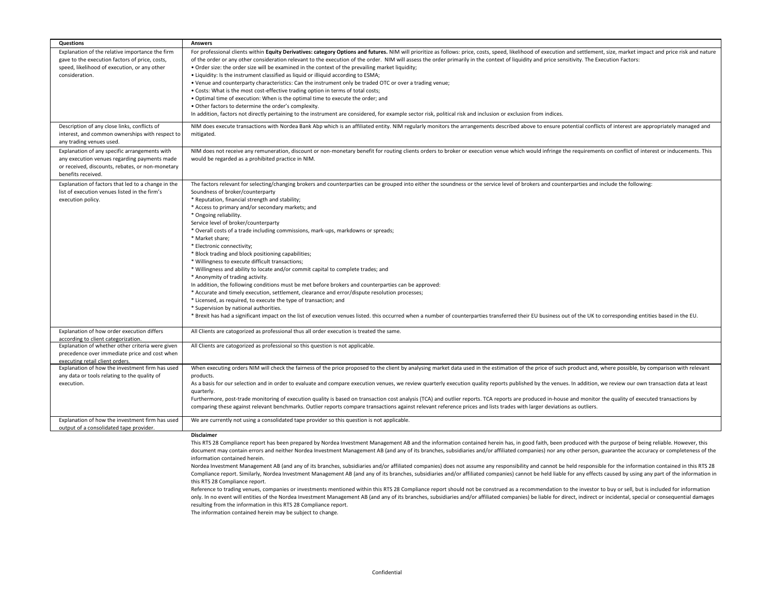| Questions                                                                                                                                                               | <b>Answers</b>                                                                                                                                                                                                                                                                                                                                                                                                                                                                                                                                                                                                                                                                                                                                                                                                                                                                                                                                                                                                                                                                                                                                                                                                                                                                                                                      |
|-------------------------------------------------------------------------------------------------------------------------------------------------------------------------|-------------------------------------------------------------------------------------------------------------------------------------------------------------------------------------------------------------------------------------------------------------------------------------------------------------------------------------------------------------------------------------------------------------------------------------------------------------------------------------------------------------------------------------------------------------------------------------------------------------------------------------------------------------------------------------------------------------------------------------------------------------------------------------------------------------------------------------------------------------------------------------------------------------------------------------------------------------------------------------------------------------------------------------------------------------------------------------------------------------------------------------------------------------------------------------------------------------------------------------------------------------------------------------------------------------------------------------|
| Explanation of the relative importance the firm<br>gave to the execution factors of price, costs,<br>speed, likelihood of execution, or any other<br>consideration.     | For professional clients within Equity Derivatives: category Options and futures. NIM will prioritize as follows: price, costs, speed, likelihood of execution and settlement, size, market impact and price risk and nature<br>of the order or any other consideration relevant to the execution of the order. NIM will assess the order primarily in the context of liquidity and price sensitivity. The Execution Factors:<br>. Order size: the order size will be examined in the context of the prevailing market liquidity;<br>. Liquidity: Is the instrument classified as liquid or illiquid according to ESMA;<br>• Venue and counterparty characteristics: Can the instrument only be traded OTC or over a trading venue;                                                                                                                                                                                                                                                                                                                                                                                                                                                                                                                                                                                                 |
|                                                                                                                                                                         | . Costs: What is the most cost-effective trading option in terms of total costs;<br>. Optimal time of execution: When is the optimal time to execute the order; and<br>. Other factors to determine the order's complexity.<br>In addition, factors not directly pertaining to the instrument are considered, for example sector risk, political risk and inclusion or exclusion from indices.                                                                                                                                                                                                                                                                                                                                                                                                                                                                                                                                                                                                                                                                                                                                                                                                                                                                                                                                      |
| Description of any close links, conflicts of<br>interest, and common ownerships with respect to<br>any trading venues used.                                             | NIM does execute transactions with Nordea Bank Abp which is an affiliated entity. NIM regularly monitors the arrangements described above to ensure potential conflicts of interest are appropriately managed and<br>mitigated.                                                                                                                                                                                                                                                                                                                                                                                                                                                                                                                                                                                                                                                                                                                                                                                                                                                                                                                                                                                                                                                                                                     |
| Explanation of any specific arrangements with<br>any execution venues regarding payments made<br>or received, discounts, rebates, or non-monetary<br>benefits received. | NIM does not receive any remuneration, discount or non-monetary benefit for routing clients orders to broker or execution venue which would infringe the requirements on conflict of interest or inducements. This<br>would be regarded as a prohibited practice in NIM.                                                                                                                                                                                                                                                                                                                                                                                                                                                                                                                                                                                                                                                                                                                                                                                                                                                                                                                                                                                                                                                            |
| Explanation of factors that led to a change in the<br>list of execution venues listed in the firm's<br>execution policy.                                                | The factors relevant for selecting/changing brokers and counterparties can be grouped into either the soundness or the service level of brokers and counterparties and include the following:<br>Soundness of broker/counterparty<br>* Reputation, financial strength and stability;<br>* Access to primary and/or secondary markets; and<br>* Ongoing reliability.<br>Service level of broker/counterparty<br>* Overall costs of a trade including commissions, mark-ups, markdowns or spreads;<br>* Market share:<br>* Electronic connectivity;<br>* Block trading and block positioning capabilities;<br>* Willingness to execute difficult transactions;<br>* Willingness and ability to locate and/or commit capital to complete trades; and<br>* Anonymity of trading activity.<br>In addition, the following conditions must be met before brokers and counterparties can be approved:<br>* Accurate and timely execution, settlement, clearance and error/dispute resolution processes;<br>* Licensed, as required, to execute the type of transaction; and<br>* Supervision by national authorities.<br>* Brexit has had a significant impact on the list of execution venues listed. this occurred when a number of counterparties transferred their EU business out of the UK to corresponding entities based in the EU. |
| Explanation of how order execution differs<br>according to client categorization.                                                                                       | All Clients are catogorized as professional thus all order execution is treated the same.                                                                                                                                                                                                                                                                                                                                                                                                                                                                                                                                                                                                                                                                                                                                                                                                                                                                                                                                                                                                                                                                                                                                                                                                                                           |
| Explanation of whether other criteria were given<br>precedence over immediate price and cost when<br>executing retail client orders.                                    | All Clients are catogorized as professional so this question is not applicable.                                                                                                                                                                                                                                                                                                                                                                                                                                                                                                                                                                                                                                                                                                                                                                                                                                                                                                                                                                                                                                                                                                                                                                                                                                                     |
| Explanation of how the investment firm has used<br>any data or tools relating to the quality of<br>execution.                                                           | When executing orders NIM will check the fairness of the price proposed to the client by analysing market data used in the estimation of the price of such product and, where possible, by comparison with relevant<br>products.<br>As a basis for our selection and in order to evaluate and compare execution venues, we review quarterly execution quality reports published by the venues. In addition, we review our own transaction data at least<br>quarterly.<br>Furthermore, post-trade monitoring of execution quality is based on transaction cost analysis (TCA) and outlier reports. TCA reports are produced in-house and monitor the quality of executed transactions by<br>comparing these against relevant benchmarks. Outlier reports compare transactions against relevant reference prices and lists trades with larger deviations as outliers.                                                                                                                                                                                                                                                                                                                                                                                                                                                                 |
| Explanation of how the investment firm has used<br>output of a consolidated tape provider                                                                               | We are currently not using a consolidated tape provider so this question is not applicable.<br><b>Disclaimer</b>                                                                                                                                                                                                                                                                                                                                                                                                                                                                                                                                                                                                                                                                                                                                                                                                                                                                                                                                                                                                                                                                                                                                                                                                                    |
|                                                                                                                                                                         | This RTS 28 Compliance report has been prepared by Nordea Investment Management AB and the information contained herein has, in good faith, been produced with the purpose of being reliable. However, this<br>document may contain errors and neither Nordea Investment Management AB (and any of its branches, subsidiaries and/or affiliated companies) nor any other person, guarantee the accuracy or completeness of the                                                                                                                                                                                                                                                                                                                                                                                                                                                                                                                                                                                                                                                                                                                                                                                                                                                                                                      |

Nordea Investment Management AB (and any of its branches, subsidiaries and/or affiliated companies) does not assume any responsibility and cannot be held responsible for the information contained in this RTS 28 Compliance report. Similarly, Nordea Investment Management AB (and any of its branches, subsidiaries and/or affiliated companies) cannot be held liable for any effects caused by using any part of the information in this RTS 28 Compliance report.

Reference to trading venues, companies or investments mentioned within this RTS 28 Compliance report should not be construed as a recommendation to the investor to buy or sell, but is included for information only. In no event will entities of the Nordea Investment Management AB (and any of its branches, subsidiaries and/or affiliated companies) be liable for direct, indirect or incidental, special or consequential damages resulting from the information in this RTS 28 Compliance report.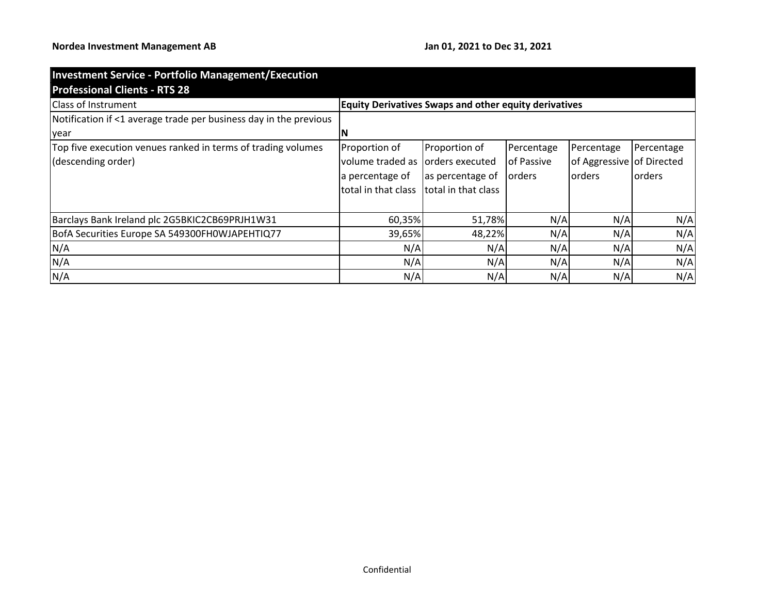| <b>Investment Service - Portfolio Management/Execution</b>        |                                                              |                     |            |                           |                 |  |  |  |
|-------------------------------------------------------------------|--------------------------------------------------------------|---------------------|------------|---------------------------|-----------------|--|--|--|
| <b>Professional Clients - RTS 28</b>                              |                                                              |                     |            |                           |                 |  |  |  |
| Class of Instrument                                               | <b>Equity Derivatives Swaps and other equity derivatives</b> |                     |            |                           |                 |  |  |  |
| Notification if <1 average trade per business day in the previous |                                                              |                     |            |                           |                 |  |  |  |
| year                                                              | ΙN                                                           |                     |            |                           |                 |  |  |  |
| Top five execution venues ranked in terms of trading volumes      | Proportion of                                                | Proportion of       | Percentage | Percentage                | Percentage      |  |  |  |
| (descending order)                                                | volume traded as                                             | orders executed     | of Passive | of Aggressive of Directed |                 |  |  |  |
|                                                                   | a percentage of                                              | as percentage of    | orders     | <b>lorders</b>            | <b>l</b> orders |  |  |  |
|                                                                   | total in that class                                          | total in that class |            |                           |                 |  |  |  |
| Barclays Bank Ireland plc 2G5BKIC2CB69PRJH1W31                    | 60,35%                                                       | 51,78%              | N/A        | N/A                       | N/A             |  |  |  |
| BofA Securities Europe SA 549300FH0WJAPEHTIQ77                    | 39,65%                                                       | 48,22%              | N/A        | N/A                       | N/A             |  |  |  |
| N/A                                                               | N/A                                                          | N/A                 | N/A        | N/A                       | N/A             |  |  |  |
| N/A                                                               | N/A                                                          | N/A                 | N/A        | N/A                       | N/A             |  |  |  |
| N/A                                                               | N/A                                                          | N/A                 | N/A        | N/A                       | N/A             |  |  |  |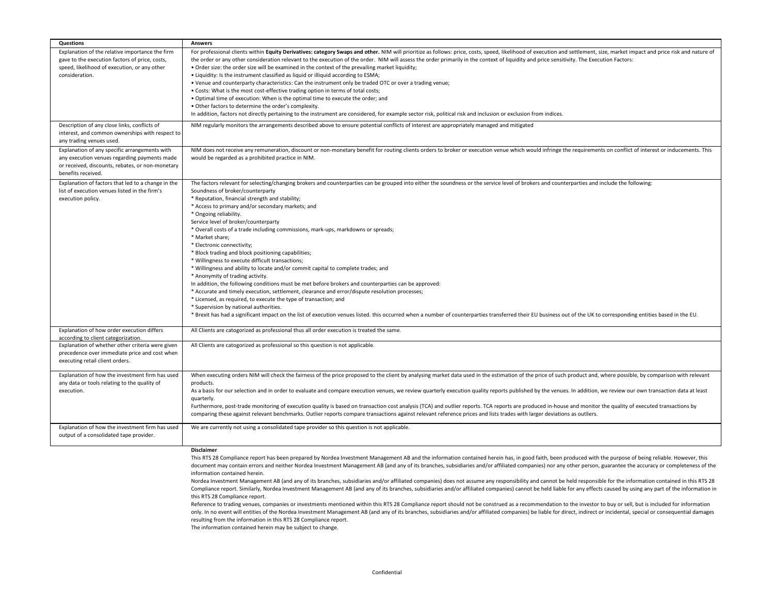| Explanation of the relative importance the firm<br>For professional clients within Equity Derivatives: category Swaps and other. NIM will prioritize as follows: price, costs, speed, likelihood of execution and settlement, size, market impact and price risk and nature of<br>gave to the execution factors of price, costs,<br>the order or any other consideration relevant to the execution of the order. NIM will assess the order primarily in the context of liquidity and price sensitivity. The Execution Factors:<br>speed, likelihood of execution, or any other<br>. Order size: the order size will be examined in the context of the prevailing market liquidity;<br>• Liquidity: Is the instrument classified as liquid or illiquid according to ESMA;<br>consideration.<br>. Venue and counterparty characteristics: Can the instrument only be traded OTC or over a trading venue;<br>• Costs: What is the most cost-effective trading option in terms of total costs;<br>. Optimal time of execution: When is the optimal time to execute the order; and<br>. Other factors to determine the order's complexity.<br>In addition, factors not directly pertaining to the instrument are considered, for example sector risk, political risk and inclusion or exclusion from indices.<br>NIM regularly monitors the arrangements described above to ensure potential conflicts of interest are appropriately managed and mitigated<br>Description of any close links, conflicts of<br>interest, and common ownerships with respect to<br>any trading venues used.<br>Explanation of any specific arrangements with<br>NIM does not receive any remuneration, discount or non-monetary benefit for routing clients orders to broker or execution venue which would infringe the requirements on conflict of interest or inducements. This<br>any execution venues regarding payments made<br>would be regarded as a prohibited practice in NIM.<br>or received, discounts, rebates, or non-monetary<br>benefits received.<br>Explanation of factors that led to a change in the<br>The factors relevant for selecting/changing brokers and counterparties can be grouped into either the soundness or the service level of brokers and counterparties and include the following:<br>list of execution venues listed in the firm's<br>Soundness of broker/counterparty<br>execution policy.<br>* Reputation, financial strength and stability;<br>* Access to primary and/or secondary markets; and<br>* Ongoing reliability.<br>Service level of broker/counterparty<br>* Overall costs of a trade including commissions, mark-ups, markdowns or spreads;<br>* Market share;<br>* Electronic connectivity;<br>* Block trading and block positioning capabilities;<br>* Willingness to execute difficult transactions;<br>* Willingness and ability to locate and/or commit capital to complete trades; and<br>* Anonymity of trading activity.<br>In addition, the following conditions must be met before brokers and counterparties can be approved:<br>* Accurate and timely execution, settlement, clearance and error/dispute resolution processes;<br>* Licensed, as required, to execute the type of transaction; and<br>* Supervision by national authorities.<br>* Brexit has had a significant impact on the list of execution venues listed. this occurred when a number of counterparties transferred their EU business out of the UK to corresponding entities based in the EU.<br>Explanation of how order execution differs<br>All Clients are catogorized as professional thus all order execution is treated the same.<br>according to client categorization.<br>Explanation of whether other criteria were given<br>All Clients are catogorized as professional so this question is not applicable.<br>precedence over immediate price and cost when<br>executing retail client orders.<br>When executing orders NIM will check the fairness of the price proposed to the client by analysing market data used in the estimation of the price of such product and, where possible, by comparison with relevant<br>Explanation of how the investment firm has used<br>any data or tools relating to the quality of<br>products.<br>As a basis for our selection and in order to evaluate and compare execution venues, we review quarterly execution quality reports published by the venues. In addition, we review our own transaction data at least<br>execution.<br>quarterly.<br>Furthermore, post-trade monitoring of execution quality is based on transaction cost analysis (TCA) and outlier reports. TCA reports are produced in-house and monitor the quality of executed transactions by<br>comparing these against relevant benchmarks. Outlier reports compare transactions against relevant reference prices and lists trades with larger deviations as outliers.<br>Explanation of how the investment firm has used<br>We are currently not using a consolidated tape provider so this question is not applicable. | Questions                               | <b>Answers</b> |
|-----------------------------------------------------------------------------------------------------------------------------------------------------------------------------------------------------------------------------------------------------------------------------------------------------------------------------------------------------------------------------------------------------------------------------------------------------------------------------------------------------------------------------------------------------------------------------------------------------------------------------------------------------------------------------------------------------------------------------------------------------------------------------------------------------------------------------------------------------------------------------------------------------------------------------------------------------------------------------------------------------------------------------------------------------------------------------------------------------------------------------------------------------------------------------------------------------------------------------------------------------------------------------------------------------------------------------------------------------------------------------------------------------------------------------------------------------------------------------------------------------------------------------------------------------------------------------------------------------------------------------------------------------------------------------------------------------------------------------------------------------------------------------------------------------------------------------------------------------------------------------------------------------------------------------------------------------------------------------------------------------------------------------------------------------------------------------------------------------------------------------------------------------------------------------------------------------------------------------------------------------------------------------------------------------------------------------------------------------------------------------------------------------------------------------------------------------------------------------------------------------------------------------------------------------------------------------------------------------------------------------------------------------------------------------------------------------------------------------------------------------------------------------------------------------------------------------------------------------------------------------------------------------------------------------------------------------------------------------------------------------------------------------------------------------------------------------------------------------------------------------------------------------------------------------------------------------------------------------------------------------------------------------------------------------------------------------------------------------------------------------------------------------------------------------------------------------------------------------------------------------------------------------------------------------------------------------------------------------------------------------------------------------------------------------------------------------------------------------------------------------------------------------------------------------------------------------------------------------------------------------------------------------------------------------------------------------------------------------------------------------------------------------------------------------------------------------------------------------------------------------------------------------------------------------------------------------------------------------------------------------------------------------------------------------------------------------------------------------------------------------------------------------------------------------------------------------------------------------------------------------------------------------------------------------------------------------------------------------------------------------------------------------------------------------------------------------------------------------------------------------------------------------------------------------------------------------------------------------------------------------------------------------------------------------------------------------------------------------------------------------------------------------------------------------------------------|-----------------------------------------|----------------|
|                                                                                                                                                                                                                                                                                                                                                                                                                                                                                                                                                                                                                                                                                                                                                                                                                                                                                                                                                                                                                                                                                                                                                                                                                                                                                                                                                                                                                                                                                                                                                                                                                                                                                                                                                                                                                                                                                                                                                                                                                                                                                                                                                                                                                                                                                                                                                                                                                                                                                                                                                                                                                                                                                                                                                                                                                                                                                                                                                                                                                                                                                                                                                                                                                                                                                                                                                                                                                                                                                                                                                                                                                                                                                                                                                                                                                                                                                                                                                                                                                                                                                                                                                                                                                                                                                                                                                                                                                                                                                                                                                                                                                                                                                                                                                                                                                                                                                                                                                                                                                                                                       |                                         |                |
|                                                                                                                                                                                                                                                                                                                                                                                                                                                                                                                                                                                                                                                                                                                                                                                                                                                                                                                                                                                                                                                                                                                                                                                                                                                                                                                                                                                                                                                                                                                                                                                                                                                                                                                                                                                                                                                                                                                                                                                                                                                                                                                                                                                                                                                                                                                                                                                                                                                                                                                                                                                                                                                                                                                                                                                                                                                                                                                                                                                                                                                                                                                                                                                                                                                                                                                                                                                                                                                                                                                                                                                                                                                                                                                                                                                                                                                                                                                                                                                                                                                                                                                                                                                                                                                                                                                                                                                                                                                                                                                                                                                                                                                                                                                                                                                                                                                                                                                                                                                                                                                                       |                                         |                |
|                                                                                                                                                                                                                                                                                                                                                                                                                                                                                                                                                                                                                                                                                                                                                                                                                                                                                                                                                                                                                                                                                                                                                                                                                                                                                                                                                                                                                                                                                                                                                                                                                                                                                                                                                                                                                                                                                                                                                                                                                                                                                                                                                                                                                                                                                                                                                                                                                                                                                                                                                                                                                                                                                                                                                                                                                                                                                                                                                                                                                                                                                                                                                                                                                                                                                                                                                                                                                                                                                                                                                                                                                                                                                                                                                                                                                                                                                                                                                                                                                                                                                                                                                                                                                                                                                                                                                                                                                                                                                                                                                                                                                                                                                                                                                                                                                                                                                                                                                                                                                                                                       |                                         |                |
|                                                                                                                                                                                                                                                                                                                                                                                                                                                                                                                                                                                                                                                                                                                                                                                                                                                                                                                                                                                                                                                                                                                                                                                                                                                                                                                                                                                                                                                                                                                                                                                                                                                                                                                                                                                                                                                                                                                                                                                                                                                                                                                                                                                                                                                                                                                                                                                                                                                                                                                                                                                                                                                                                                                                                                                                                                                                                                                                                                                                                                                                                                                                                                                                                                                                                                                                                                                                                                                                                                                                                                                                                                                                                                                                                                                                                                                                                                                                                                                                                                                                                                                                                                                                                                                                                                                                                                                                                                                                                                                                                                                                                                                                                                                                                                                                                                                                                                                                                                                                                                                                       |                                         |                |
|                                                                                                                                                                                                                                                                                                                                                                                                                                                                                                                                                                                                                                                                                                                                                                                                                                                                                                                                                                                                                                                                                                                                                                                                                                                                                                                                                                                                                                                                                                                                                                                                                                                                                                                                                                                                                                                                                                                                                                                                                                                                                                                                                                                                                                                                                                                                                                                                                                                                                                                                                                                                                                                                                                                                                                                                                                                                                                                                                                                                                                                                                                                                                                                                                                                                                                                                                                                                                                                                                                                                                                                                                                                                                                                                                                                                                                                                                                                                                                                                                                                                                                                                                                                                                                                                                                                                                                                                                                                                                                                                                                                                                                                                                                                                                                                                                                                                                                                                                                                                                                                                       |                                         |                |
|                                                                                                                                                                                                                                                                                                                                                                                                                                                                                                                                                                                                                                                                                                                                                                                                                                                                                                                                                                                                                                                                                                                                                                                                                                                                                                                                                                                                                                                                                                                                                                                                                                                                                                                                                                                                                                                                                                                                                                                                                                                                                                                                                                                                                                                                                                                                                                                                                                                                                                                                                                                                                                                                                                                                                                                                                                                                                                                                                                                                                                                                                                                                                                                                                                                                                                                                                                                                                                                                                                                                                                                                                                                                                                                                                                                                                                                                                                                                                                                                                                                                                                                                                                                                                                                                                                                                                                                                                                                                                                                                                                                                                                                                                                                                                                                                                                                                                                                                                                                                                                                                       |                                         |                |
|                                                                                                                                                                                                                                                                                                                                                                                                                                                                                                                                                                                                                                                                                                                                                                                                                                                                                                                                                                                                                                                                                                                                                                                                                                                                                                                                                                                                                                                                                                                                                                                                                                                                                                                                                                                                                                                                                                                                                                                                                                                                                                                                                                                                                                                                                                                                                                                                                                                                                                                                                                                                                                                                                                                                                                                                                                                                                                                                                                                                                                                                                                                                                                                                                                                                                                                                                                                                                                                                                                                                                                                                                                                                                                                                                                                                                                                                                                                                                                                                                                                                                                                                                                                                                                                                                                                                                                                                                                                                                                                                                                                                                                                                                                                                                                                                                                                                                                                                                                                                                                                                       |                                         |                |
|                                                                                                                                                                                                                                                                                                                                                                                                                                                                                                                                                                                                                                                                                                                                                                                                                                                                                                                                                                                                                                                                                                                                                                                                                                                                                                                                                                                                                                                                                                                                                                                                                                                                                                                                                                                                                                                                                                                                                                                                                                                                                                                                                                                                                                                                                                                                                                                                                                                                                                                                                                                                                                                                                                                                                                                                                                                                                                                                                                                                                                                                                                                                                                                                                                                                                                                                                                                                                                                                                                                                                                                                                                                                                                                                                                                                                                                                                                                                                                                                                                                                                                                                                                                                                                                                                                                                                                                                                                                                                                                                                                                                                                                                                                                                                                                                                                                                                                                                                                                                                                                                       |                                         |                |
|                                                                                                                                                                                                                                                                                                                                                                                                                                                                                                                                                                                                                                                                                                                                                                                                                                                                                                                                                                                                                                                                                                                                                                                                                                                                                                                                                                                                                                                                                                                                                                                                                                                                                                                                                                                                                                                                                                                                                                                                                                                                                                                                                                                                                                                                                                                                                                                                                                                                                                                                                                                                                                                                                                                                                                                                                                                                                                                                                                                                                                                                                                                                                                                                                                                                                                                                                                                                                                                                                                                                                                                                                                                                                                                                                                                                                                                                                                                                                                                                                                                                                                                                                                                                                                                                                                                                                                                                                                                                                                                                                                                                                                                                                                                                                                                                                                                                                                                                                                                                                                                                       |                                         |                |
|                                                                                                                                                                                                                                                                                                                                                                                                                                                                                                                                                                                                                                                                                                                                                                                                                                                                                                                                                                                                                                                                                                                                                                                                                                                                                                                                                                                                                                                                                                                                                                                                                                                                                                                                                                                                                                                                                                                                                                                                                                                                                                                                                                                                                                                                                                                                                                                                                                                                                                                                                                                                                                                                                                                                                                                                                                                                                                                                                                                                                                                                                                                                                                                                                                                                                                                                                                                                                                                                                                                                                                                                                                                                                                                                                                                                                                                                                                                                                                                                                                                                                                                                                                                                                                                                                                                                                                                                                                                                                                                                                                                                                                                                                                                                                                                                                                                                                                                                                                                                                                                                       |                                         |                |
|                                                                                                                                                                                                                                                                                                                                                                                                                                                                                                                                                                                                                                                                                                                                                                                                                                                                                                                                                                                                                                                                                                                                                                                                                                                                                                                                                                                                                                                                                                                                                                                                                                                                                                                                                                                                                                                                                                                                                                                                                                                                                                                                                                                                                                                                                                                                                                                                                                                                                                                                                                                                                                                                                                                                                                                                                                                                                                                                                                                                                                                                                                                                                                                                                                                                                                                                                                                                                                                                                                                                                                                                                                                                                                                                                                                                                                                                                                                                                                                                                                                                                                                                                                                                                                                                                                                                                                                                                                                                                                                                                                                                                                                                                                                                                                                                                                                                                                                                                                                                                                                                       |                                         |                |
|                                                                                                                                                                                                                                                                                                                                                                                                                                                                                                                                                                                                                                                                                                                                                                                                                                                                                                                                                                                                                                                                                                                                                                                                                                                                                                                                                                                                                                                                                                                                                                                                                                                                                                                                                                                                                                                                                                                                                                                                                                                                                                                                                                                                                                                                                                                                                                                                                                                                                                                                                                                                                                                                                                                                                                                                                                                                                                                                                                                                                                                                                                                                                                                                                                                                                                                                                                                                                                                                                                                                                                                                                                                                                                                                                                                                                                                                                                                                                                                                                                                                                                                                                                                                                                                                                                                                                                                                                                                                                                                                                                                                                                                                                                                                                                                                                                                                                                                                                                                                                                                                       |                                         |                |
|                                                                                                                                                                                                                                                                                                                                                                                                                                                                                                                                                                                                                                                                                                                                                                                                                                                                                                                                                                                                                                                                                                                                                                                                                                                                                                                                                                                                                                                                                                                                                                                                                                                                                                                                                                                                                                                                                                                                                                                                                                                                                                                                                                                                                                                                                                                                                                                                                                                                                                                                                                                                                                                                                                                                                                                                                                                                                                                                                                                                                                                                                                                                                                                                                                                                                                                                                                                                                                                                                                                                                                                                                                                                                                                                                                                                                                                                                                                                                                                                                                                                                                                                                                                                                                                                                                                                                                                                                                                                                                                                                                                                                                                                                                                                                                                                                                                                                                                                                                                                                                                                       |                                         |                |
|                                                                                                                                                                                                                                                                                                                                                                                                                                                                                                                                                                                                                                                                                                                                                                                                                                                                                                                                                                                                                                                                                                                                                                                                                                                                                                                                                                                                                                                                                                                                                                                                                                                                                                                                                                                                                                                                                                                                                                                                                                                                                                                                                                                                                                                                                                                                                                                                                                                                                                                                                                                                                                                                                                                                                                                                                                                                                                                                                                                                                                                                                                                                                                                                                                                                                                                                                                                                                                                                                                                                                                                                                                                                                                                                                                                                                                                                                                                                                                                                                                                                                                                                                                                                                                                                                                                                                                                                                                                                                                                                                                                                                                                                                                                                                                                                                                                                                                                                                                                                                                                                       |                                         |                |
|                                                                                                                                                                                                                                                                                                                                                                                                                                                                                                                                                                                                                                                                                                                                                                                                                                                                                                                                                                                                                                                                                                                                                                                                                                                                                                                                                                                                                                                                                                                                                                                                                                                                                                                                                                                                                                                                                                                                                                                                                                                                                                                                                                                                                                                                                                                                                                                                                                                                                                                                                                                                                                                                                                                                                                                                                                                                                                                                                                                                                                                                                                                                                                                                                                                                                                                                                                                                                                                                                                                                                                                                                                                                                                                                                                                                                                                                                                                                                                                                                                                                                                                                                                                                                                                                                                                                                                                                                                                                                                                                                                                                                                                                                                                                                                                                                                                                                                                                                                                                                                                                       |                                         |                |
|                                                                                                                                                                                                                                                                                                                                                                                                                                                                                                                                                                                                                                                                                                                                                                                                                                                                                                                                                                                                                                                                                                                                                                                                                                                                                                                                                                                                                                                                                                                                                                                                                                                                                                                                                                                                                                                                                                                                                                                                                                                                                                                                                                                                                                                                                                                                                                                                                                                                                                                                                                                                                                                                                                                                                                                                                                                                                                                                                                                                                                                                                                                                                                                                                                                                                                                                                                                                                                                                                                                                                                                                                                                                                                                                                                                                                                                                                                                                                                                                                                                                                                                                                                                                                                                                                                                                                                                                                                                                                                                                                                                                                                                                                                                                                                                                                                                                                                                                                                                                                                                                       |                                         |                |
|                                                                                                                                                                                                                                                                                                                                                                                                                                                                                                                                                                                                                                                                                                                                                                                                                                                                                                                                                                                                                                                                                                                                                                                                                                                                                                                                                                                                                                                                                                                                                                                                                                                                                                                                                                                                                                                                                                                                                                                                                                                                                                                                                                                                                                                                                                                                                                                                                                                                                                                                                                                                                                                                                                                                                                                                                                                                                                                                                                                                                                                                                                                                                                                                                                                                                                                                                                                                                                                                                                                                                                                                                                                                                                                                                                                                                                                                                                                                                                                                                                                                                                                                                                                                                                                                                                                                                                                                                                                                                                                                                                                                                                                                                                                                                                                                                                                                                                                                                                                                                                                                       |                                         |                |
|                                                                                                                                                                                                                                                                                                                                                                                                                                                                                                                                                                                                                                                                                                                                                                                                                                                                                                                                                                                                                                                                                                                                                                                                                                                                                                                                                                                                                                                                                                                                                                                                                                                                                                                                                                                                                                                                                                                                                                                                                                                                                                                                                                                                                                                                                                                                                                                                                                                                                                                                                                                                                                                                                                                                                                                                                                                                                                                                                                                                                                                                                                                                                                                                                                                                                                                                                                                                                                                                                                                                                                                                                                                                                                                                                                                                                                                                                                                                                                                                                                                                                                                                                                                                                                                                                                                                                                                                                                                                                                                                                                                                                                                                                                                                                                                                                                                                                                                                                                                                                                                                       |                                         |                |
|                                                                                                                                                                                                                                                                                                                                                                                                                                                                                                                                                                                                                                                                                                                                                                                                                                                                                                                                                                                                                                                                                                                                                                                                                                                                                                                                                                                                                                                                                                                                                                                                                                                                                                                                                                                                                                                                                                                                                                                                                                                                                                                                                                                                                                                                                                                                                                                                                                                                                                                                                                                                                                                                                                                                                                                                                                                                                                                                                                                                                                                                                                                                                                                                                                                                                                                                                                                                                                                                                                                                                                                                                                                                                                                                                                                                                                                                                                                                                                                                                                                                                                                                                                                                                                                                                                                                                                                                                                                                                                                                                                                                                                                                                                                                                                                                                                                                                                                                                                                                                                                                       |                                         |                |
|                                                                                                                                                                                                                                                                                                                                                                                                                                                                                                                                                                                                                                                                                                                                                                                                                                                                                                                                                                                                                                                                                                                                                                                                                                                                                                                                                                                                                                                                                                                                                                                                                                                                                                                                                                                                                                                                                                                                                                                                                                                                                                                                                                                                                                                                                                                                                                                                                                                                                                                                                                                                                                                                                                                                                                                                                                                                                                                                                                                                                                                                                                                                                                                                                                                                                                                                                                                                                                                                                                                                                                                                                                                                                                                                                                                                                                                                                                                                                                                                                                                                                                                                                                                                                                                                                                                                                                                                                                                                                                                                                                                                                                                                                                                                                                                                                                                                                                                                                                                                                                                                       |                                         |                |
|                                                                                                                                                                                                                                                                                                                                                                                                                                                                                                                                                                                                                                                                                                                                                                                                                                                                                                                                                                                                                                                                                                                                                                                                                                                                                                                                                                                                                                                                                                                                                                                                                                                                                                                                                                                                                                                                                                                                                                                                                                                                                                                                                                                                                                                                                                                                                                                                                                                                                                                                                                                                                                                                                                                                                                                                                                                                                                                                                                                                                                                                                                                                                                                                                                                                                                                                                                                                                                                                                                                                                                                                                                                                                                                                                                                                                                                                                                                                                                                                                                                                                                                                                                                                                                                                                                                                                                                                                                                                                                                                                                                                                                                                                                                                                                                                                                                                                                                                                                                                                                                                       |                                         |                |
|                                                                                                                                                                                                                                                                                                                                                                                                                                                                                                                                                                                                                                                                                                                                                                                                                                                                                                                                                                                                                                                                                                                                                                                                                                                                                                                                                                                                                                                                                                                                                                                                                                                                                                                                                                                                                                                                                                                                                                                                                                                                                                                                                                                                                                                                                                                                                                                                                                                                                                                                                                                                                                                                                                                                                                                                                                                                                                                                                                                                                                                                                                                                                                                                                                                                                                                                                                                                                                                                                                                                                                                                                                                                                                                                                                                                                                                                                                                                                                                                                                                                                                                                                                                                                                                                                                                                                                                                                                                                                                                                                                                                                                                                                                                                                                                                                                                                                                                                                                                                                                                                       |                                         |                |
|                                                                                                                                                                                                                                                                                                                                                                                                                                                                                                                                                                                                                                                                                                                                                                                                                                                                                                                                                                                                                                                                                                                                                                                                                                                                                                                                                                                                                                                                                                                                                                                                                                                                                                                                                                                                                                                                                                                                                                                                                                                                                                                                                                                                                                                                                                                                                                                                                                                                                                                                                                                                                                                                                                                                                                                                                                                                                                                                                                                                                                                                                                                                                                                                                                                                                                                                                                                                                                                                                                                                                                                                                                                                                                                                                                                                                                                                                                                                                                                                                                                                                                                                                                                                                                                                                                                                                                                                                                                                                                                                                                                                                                                                                                                                                                                                                                                                                                                                                                                                                                                                       |                                         |                |
|                                                                                                                                                                                                                                                                                                                                                                                                                                                                                                                                                                                                                                                                                                                                                                                                                                                                                                                                                                                                                                                                                                                                                                                                                                                                                                                                                                                                                                                                                                                                                                                                                                                                                                                                                                                                                                                                                                                                                                                                                                                                                                                                                                                                                                                                                                                                                                                                                                                                                                                                                                                                                                                                                                                                                                                                                                                                                                                                                                                                                                                                                                                                                                                                                                                                                                                                                                                                                                                                                                                                                                                                                                                                                                                                                                                                                                                                                                                                                                                                                                                                                                                                                                                                                                                                                                                                                                                                                                                                                                                                                                                                                                                                                                                                                                                                                                                                                                                                                                                                                                                                       |                                         |                |
|                                                                                                                                                                                                                                                                                                                                                                                                                                                                                                                                                                                                                                                                                                                                                                                                                                                                                                                                                                                                                                                                                                                                                                                                                                                                                                                                                                                                                                                                                                                                                                                                                                                                                                                                                                                                                                                                                                                                                                                                                                                                                                                                                                                                                                                                                                                                                                                                                                                                                                                                                                                                                                                                                                                                                                                                                                                                                                                                                                                                                                                                                                                                                                                                                                                                                                                                                                                                                                                                                                                                                                                                                                                                                                                                                                                                                                                                                                                                                                                                                                                                                                                                                                                                                                                                                                                                                                                                                                                                                                                                                                                                                                                                                                                                                                                                                                                                                                                                                                                                                                                                       |                                         |                |
|                                                                                                                                                                                                                                                                                                                                                                                                                                                                                                                                                                                                                                                                                                                                                                                                                                                                                                                                                                                                                                                                                                                                                                                                                                                                                                                                                                                                                                                                                                                                                                                                                                                                                                                                                                                                                                                                                                                                                                                                                                                                                                                                                                                                                                                                                                                                                                                                                                                                                                                                                                                                                                                                                                                                                                                                                                                                                                                                                                                                                                                                                                                                                                                                                                                                                                                                                                                                                                                                                                                                                                                                                                                                                                                                                                                                                                                                                                                                                                                                                                                                                                                                                                                                                                                                                                                                                                                                                                                                                                                                                                                                                                                                                                                                                                                                                                                                                                                                                                                                                                                                       |                                         |                |
|                                                                                                                                                                                                                                                                                                                                                                                                                                                                                                                                                                                                                                                                                                                                                                                                                                                                                                                                                                                                                                                                                                                                                                                                                                                                                                                                                                                                                                                                                                                                                                                                                                                                                                                                                                                                                                                                                                                                                                                                                                                                                                                                                                                                                                                                                                                                                                                                                                                                                                                                                                                                                                                                                                                                                                                                                                                                                                                                                                                                                                                                                                                                                                                                                                                                                                                                                                                                                                                                                                                                                                                                                                                                                                                                                                                                                                                                                                                                                                                                                                                                                                                                                                                                                                                                                                                                                                                                                                                                                                                                                                                                                                                                                                                                                                                                                                                                                                                                                                                                                                                                       |                                         |                |
|                                                                                                                                                                                                                                                                                                                                                                                                                                                                                                                                                                                                                                                                                                                                                                                                                                                                                                                                                                                                                                                                                                                                                                                                                                                                                                                                                                                                                                                                                                                                                                                                                                                                                                                                                                                                                                                                                                                                                                                                                                                                                                                                                                                                                                                                                                                                                                                                                                                                                                                                                                                                                                                                                                                                                                                                                                                                                                                                                                                                                                                                                                                                                                                                                                                                                                                                                                                                                                                                                                                                                                                                                                                                                                                                                                                                                                                                                                                                                                                                                                                                                                                                                                                                                                                                                                                                                                                                                                                                                                                                                                                                                                                                                                                                                                                                                                                                                                                                                                                                                                                                       |                                         |                |
|                                                                                                                                                                                                                                                                                                                                                                                                                                                                                                                                                                                                                                                                                                                                                                                                                                                                                                                                                                                                                                                                                                                                                                                                                                                                                                                                                                                                                                                                                                                                                                                                                                                                                                                                                                                                                                                                                                                                                                                                                                                                                                                                                                                                                                                                                                                                                                                                                                                                                                                                                                                                                                                                                                                                                                                                                                                                                                                                                                                                                                                                                                                                                                                                                                                                                                                                                                                                                                                                                                                                                                                                                                                                                                                                                                                                                                                                                                                                                                                                                                                                                                                                                                                                                                                                                                                                                                                                                                                                                                                                                                                                                                                                                                                                                                                                                                                                                                                                                                                                                                                                       |                                         |                |
|                                                                                                                                                                                                                                                                                                                                                                                                                                                                                                                                                                                                                                                                                                                                                                                                                                                                                                                                                                                                                                                                                                                                                                                                                                                                                                                                                                                                                                                                                                                                                                                                                                                                                                                                                                                                                                                                                                                                                                                                                                                                                                                                                                                                                                                                                                                                                                                                                                                                                                                                                                                                                                                                                                                                                                                                                                                                                                                                                                                                                                                                                                                                                                                                                                                                                                                                                                                                                                                                                                                                                                                                                                                                                                                                                                                                                                                                                                                                                                                                                                                                                                                                                                                                                                                                                                                                                                                                                                                                                                                                                                                                                                                                                                                                                                                                                                                                                                                                                                                                                                                                       |                                         |                |
|                                                                                                                                                                                                                                                                                                                                                                                                                                                                                                                                                                                                                                                                                                                                                                                                                                                                                                                                                                                                                                                                                                                                                                                                                                                                                                                                                                                                                                                                                                                                                                                                                                                                                                                                                                                                                                                                                                                                                                                                                                                                                                                                                                                                                                                                                                                                                                                                                                                                                                                                                                                                                                                                                                                                                                                                                                                                                                                                                                                                                                                                                                                                                                                                                                                                                                                                                                                                                                                                                                                                                                                                                                                                                                                                                                                                                                                                                                                                                                                                                                                                                                                                                                                                                                                                                                                                                                                                                                                                                                                                                                                                                                                                                                                                                                                                                                                                                                                                                                                                                                                                       |                                         |                |
|                                                                                                                                                                                                                                                                                                                                                                                                                                                                                                                                                                                                                                                                                                                                                                                                                                                                                                                                                                                                                                                                                                                                                                                                                                                                                                                                                                                                                                                                                                                                                                                                                                                                                                                                                                                                                                                                                                                                                                                                                                                                                                                                                                                                                                                                                                                                                                                                                                                                                                                                                                                                                                                                                                                                                                                                                                                                                                                                                                                                                                                                                                                                                                                                                                                                                                                                                                                                                                                                                                                                                                                                                                                                                                                                                                                                                                                                                                                                                                                                                                                                                                                                                                                                                                                                                                                                                                                                                                                                                                                                                                                                                                                                                                                                                                                                                                                                                                                                                                                                                                                                       |                                         |                |
|                                                                                                                                                                                                                                                                                                                                                                                                                                                                                                                                                                                                                                                                                                                                                                                                                                                                                                                                                                                                                                                                                                                                                                                                                                                                                                                                                                                                                                                                                                                                                                                                                                                                                                                                                                                                                                                                                                                                                                                                                                                                                                                                                                                                                                                                                                                                                                                                                                                                                                                                                                                                                                                                                                                                                                                                                                                                                                                                                                                                                                                                                                                                                                                                                                                                                                                                                                                                                                                                                                                                                                                                                                                                                                                                                                                                                                                                                                                                                                                                                                                                                                                                                                                                                                                                                                                                                                                                                                                                                                                                                                                                                                                                                                                                                                                                                                                                                                                                                                                                                                                                       |                                         |                |
|                                                                                                                                                                                                                                                                                                                                                                                                                                                                                                                                                                                                                                                                                                                                                                                                                                                                                                                                                                                                                                                                                                                                                                                                                                                                                                                                                                                                                                                                                                                                                                                                                                                                                                                                                                                                                                                                                                                                                                                                                                                                                                                                                                                                                                                                                                                                                                                                                                                                                                                                                                                                                                                                                                                                                                                                                                                                                                                                                                                                                                                                                                                                                                                                                                                                                                                                                                                                                                                                                                                                                                                                                                                                                                                                                                                                                                                                                                                                                                                                                                                                                                                                                                                                                                                                                                                                                                                                                                                                                                                                                                                                                                                                                                                                                                                                                                                                                                                                                                                                                                                                       |                                         |                |
|                                                                                                                                                                                                                                                                                                                                                                                                                                                                                                                                                                                                                                                                                                                                                                                                                                                                                                                                                                                                                                                                                                                                                                                                                                                                                                                                                                                                                                                                                                                                                                                                                                                                                                                                                                                                                                                                                                                                                                                                                                                                                                                                                                                                                                                                                                                                                                                                                                                                                                                                                                                                                                                                                                                                                                                                                                                                                                                                                                                                                                                                                                                                                                                                                                                                                                                                                                                                                                                                                                                                                                                                                                                                                                                                                                                                                                                                                                                                                                                                                                                                                                                                                                                                                                                                                                                                                                                                                                                                                                                                                                                                                                                                                                                                                                                                                                                                                                                                                                                                                                                                       |                                         |                |
|                                                                                                                                                                                                                                                                                                                                                                                                                                                                                                                                                                                                                                                                                                                                                                                                                                                                                                                                                                                                                                                                                                                                                                                                                                                                                                                                                                                                                                                                                                                                                                                                                                                                                                                                                                                                                                                                                                                                                                                                                                                                                                                                                                                                                                                                                                                                                                                                                                                                                                                                                                                                                                                                                                                                                                                                                                                                                                                                                                                                                                                                                                                                                                                                                                                                                                                                                                                                                                                                                                                                                                                                                                                                                                                                                                                                                                                                                                                                                                                                                                                                                                                                                                                                                                                                                                                                                                                                                                                                                                                                                                                                                                                                                                                                                                                                                                                                                                                                                                                                                                                                       |                                         |                |
|                                                                                                                                                                                                                                                                                                                                                                                                                                                                                                                                                                                                                                                                                                                                                                                                                                                                                                                                                                                                                                                                                                                                                                                                                                                                                                                                                                                                                                                                                                                                                                                                                                                                                                                                                                                                                                                                                                                                                                                                                                                                                                                                                                                                                                                                                                                                                                                                                                                                                                                                                                                                                                                                                                                                                                                                                                                                                                                                                                                                                                                                                                                                                                                                                                                                                                                                                                                                                                                                                                                                                                                                                                                                                                                                                                                                                                                                                                                                                                                                                                                                                                                                                                                                                                                                                                                                                                                                                                                                                                                                                                                                                                                                                                                                                                                                                                                                                                                                                                                                                                                                       |                                         |                |
|                                                                                                                                                                                                                                                                                                                                                                                                                                                                                                                                                                                                                                                                                                                                                                                                                                                                                                                                                                                                                                                                                                                                                                                                                                                                                                                                                                                                                                                                                                                                                                                                                                                                                                                                                                                                                                                                                                                                                                                                                                                                                                                                                                                                                                                                                                                                                                                                                                                                                                                                                                                                                                                                                                                                                                                                                                                                                                                                                                                                                                                                                                                                                                                                                                                                                                                                                                                                                                                                                                                                                                                                                                                                                                                                                                                                                                                                                                                                                                                                                                                                                                                                                                                                                                                                                                                                                                                                                                                                                                                                                                                                                                                                                                                                                                                                                                                                                                                                                                                                                                                                       |                                         |                |
|                                                                                                                                                                                                                                                                                                                                                                                                                                                                                                                                                                                                                                                                                                                                                                                                                                                                                                                                                                                                                                                                                                                                                                                                                                                                                                                                                                                                                                                                                                                                                                                                                                                                                                                                                                                                                                                                                                                                                                                                                                                                                                                                                                                                                                                                                                                                                                                                                                                                                                                                                                                                                                                                                                                                                                                                                                                                                                                                                                                                                                                                                                                                                                                                                                                                                                                                                                                                                                                                                                                                                                                                                                                                                                                                                                                                                                                                                                                                                                                                                                                                                                                                                                                                                                                                                                                                                                                                                                                                                                                                                                                                                                                                                                                                                                                                                                                                                                                                                                                                                                                                       |                                         |                |
|                                                                                                                                                                                                                                                                                                                                                                                                                                                                                                                                                                                                                                                                                                                                                                                                                                                                                                                                                                                                                                                                                                                                                                                                                                                                                                                                                                                                                                                                                                                                                                                                                                                                                                                                                                                                                                                                                                                                                                                                                                                                                                                                                                                                                                                                                                                                                                                                                                                                                                                                                                                                                                                                                                                                                                                                                                                                                                                                                                                                                                                                                                                                                                                                                                                                                                                                                                                                                                                                                                                                                                                                                                                                                                                                                                                                                                                                                                                                                                                                                                                                                                                                                                                                                                                                                                                                                                                                                                                                                                                                                                                                                                                                                                                                                                                                                                                                                                                                                                                                                                                                       |                                         |                |
|                                                                                                                                                                                                                                                                                                                                                                                                                                                                                                                                                                                                                                                                                                                                                                                                                                                                                                                                                                                                                                                                                                                                                                                                                                                                                                                                                                                                                                                                                                                                                                                                                                                                                                                                                                                                                                                                                                                                                                                                                                                                                                                                                                                                                                                                                                                                                                                                                                                                                                                                                                                                                                                                                                                                                                                                                                                                                                                                                                                                                                                                                                                                                                                                                                                                                                                                                                                                                                                                                                                                                                                                                                                                                                                                                                                                                                                                                                                                                                                                                                                                                                                                                                                                                                                                                                                                                                                                                                                                                                                                                                                                                                                                                                                                                                                                                                                                                                                                                                                                                                                                       |                                         |                |
|                                                                                                                                                                                                                                                                                                                                                                                                                                                                                                                                                                                                                                                                                                                                                                                                                                                                                                                                                                                                                                                                                                                                                                                                                                                                                                                                                                                                                                                                                                                                                                                                                                                                                                                                                                                                                                                                                                                                                                                                                                                                                                                                                                                                                                                                                                                                                                                                                                                                                                                                                                                                                                                                                                                                                                                                                                                                                                                                                                                                                                                                                                                                                                                                                                                                                                                                                                                                                                                                                                                                                                                                                                                                                                                                                                                                                                                                                                                                                                                                                                                                                                                                                                                                                                                                                                                                                                                                                                                                                                                                                                                                                                                                                                                                                                                                                                                                                                                                                                                                                                                                       |                                         |                |
|                                                                                                                                                                                                                                                                                                                                                                                                                                                                                                                                                                                                                                                                                                                                                                                                                                                                                                                                                                                                                                                                                                                                                                                                                                                                                                                                                                                                                                                                                                                                                                                                                                                                                                                                                                                                                                                                                                                                                                                                                                                                                                                                                                                                                                                                                                                                                                                                                                                                                                                                                                                                                                                                                                                                                                                                                                                                                                                                                                                                                                                                                                                                                                                                                                                                                                                                                                                                                                                                                                                                                                                                                                                                                                                                                                                                                                                                                                                                                                                                                                                                                                                                                                                                                                                                                                                                                                                                                                                                                                                                                                                                                                                                                                                                                                                                                                                                                                                                                                                                                                                                       |                                         |                |
|                                                                                                                                                                                                                                                                                                                                                                                                                                                                                                                                                                                                                                                                                                                                                                                                                                                                                                                                                                                                                                                                                                                                                                                                                                                                                                                                                                                                                                                                                                                                                                                                                                                                                                                                                                                                                                                                                                                                                                                                                                                                                                                                                                                                                                                                                                                                                                                                                                                                                                                                                                                                                                                                                                                                                                                                                                                                                                                                                                                                                                                                                                                                                                                                                                                                                                                                                                                                                                                                                                                                                                                                                                                                                                                                                                                                                                                                                                                                                                                                                                                                                                                                                                                                                                                                                                                                                                                                                                                                                                                                                                                                                                                                                                                                                                                                                                                                                                                                                                                                                                                                       |                                         |                |
|                                                                                                                                                                                                                                                                                                                                                                                                                                                                                                                                                                                                                                                                                                                                                                                                                                                                                                                                                                                                                                                                                                                                                                                                                                                                                                                                                                                                                                                                                                                                                                                                                                                                                                                                                                                                                                                                                                                                                                                                                                                                                                                                                                                                                                                                                                                                                                                                                                                                                                                                                                                                                                                                                                                                                                                                                                                                                                                                                                                                                                                                                                                                                                                                                                                                                                                                                                                                                                                                                                                                                                                                                                                                                                                                                                                                                                                                                                                                                                                                                                                                                                                                                                                                                                                                                                                                                                                                                                                                                                                                                                                                                                                                                                                                                                                                                                                                                                                                                                                                                                                                       |                                         |                |
|                                                                                                                                                                                                                                                                                                                                                                                                                                                                                                                                                                                                                                                                                                                                                                                                                                                                                                                                                                                                                                                                                                                                                                                                                                                                                                                                                                                                                                                                                                                                                                                                                                                                                                                                                                                                                                                                                                                                                                                                                                                                                                                                                                                                                                                                                                                                                                                                                                                                                                                                                                                                                                                                                                                                                                                                                                                                                                                                                                                                                                                                                                                                                                                                                                                                                                                                                                                                                                                                                                                                                                                                                                                                                                                                                                                                                                                                                                                                                                                                                                                                                                                                                                                                                                                                                                                                                                                                                                                                                                                                                                                                                                                                                                                                                                                                                                                                                                                                                                                                                                                                       |                                         |                |
|                                                                                                                                                                                                                                                                                                                                                                                                                                                                                                                                                                                                                                                                                                                                                                                                                                                                                                                                                                                                                                                                                                                                                                                                                                                                                                                                                                                                                                                                                                                                                                                                                                                                                                                                                                                                                                                                                                                                                                                                                                                                                                                                                                                                                                                                                                                                                                                                                                                                                                                                                                                                                                                                                                                                                                                                                                                                                                                                                                                                                                                                                                                                                                                                                                                                                                                                                                                                                                                                                                                                                                                                                                                                                                                                                                                                                                                                                                                                                                                                                                                                                                                                                                                                                                                                                                                                                                                                                                                                                                                                                                                                                                                                                                                                                                                                                                                                                                                                                                                                                                                                       | output of a consolidated tape provider. |                |
|                                                                                                                                                                                                                                                                                                                                                                                                                                                                                                                                                                                                                                                                                                                                                                                                                                                                                                                                                                                                                                                                                                                                                                                                                                                                                                                                                                                                                                                                                                                                                                                                                                                                                                                                                                                                                                                                                                                                                                                                                                                                                                                                                                                                                                                                                                                                                                                                                                                                                                                                                                                                                                                                                                                                                                                                                                                                                                                                                                                                                                                                                                                                                                                                                                                                                                                                                                                                                                                                                                                                                                                                                                                                                                                                                                                                                                                                                                                                                                                                                                                                                                                                                                                                                                                                                                                                                                                                                                                                                                                                                                                                                                                                                                                                                                                                                                                                                                                                                                                                                                                                       |                                         |                |
| <b>Disclaimer</b><br>This RTS 28 Compliance report has been prepared by Nordea Investment Management AB and the information contained herein has, in good faith, been produced with the purpose of being reliable. However, this                                                                                                                                                                                                                                                                                                                                                                                                                                                                                                                                                                                                                                                                                                                                                                                                                                                                                                                                                                                                                                                                                                                                                                                                                                                                                                                                                                                                                                                                                                                                                                                                                                                                                                                                                                                                                                                                                                                                                                                                                                                                                                                                                                                                                                                                                                                                                                                                                                                                                                                                                                                                                                                                                                                                                                                                                                                                                                                                                                                                                                                                                                                                                                                                                                                                                                                                                                                                                                                                                                                                                                                                                                                                                                                                                                                                                                                                                                                                                                                                                                                                                                                                                                                                                                                                                                                                                                                                                                                                                                                                                                                                                                                                                                                                                                                                                                      |                                         |                |

This RTS 28 Compliance report has been prepared by Nordea Investment Management AB and the information contained herein has, in good faith, been produced with the purpose of being reliable. However, this<br>document may conta information contained herein.

Nordea Investment Management AB (and any of its branches, subsidiaries and/or affiliated companies) does not assume any responsibility and cannot be held responsible for the information contained in this RTS 28 Compliance report. Similarly, Nordea Investment Management AB (and any of its branches, subsidiaries and/or affiliated companies) cannot be held liable for any effects caused by using any part of the information in this RTS 28 Compliance report.

Reference to trading venues, companies or investments mentioned within this RTS 28 Compliance report should not be construed as a recommendation to the investor to buy or sell, but is included for information only. In no event will entities of the Nordea Investment Management AB (and any of its branches, subsidiaries and/or affiliated companies) be liable for direct, indirect or incidental, special or consequential damages resulting from the information in this RTS 28 Compliance report.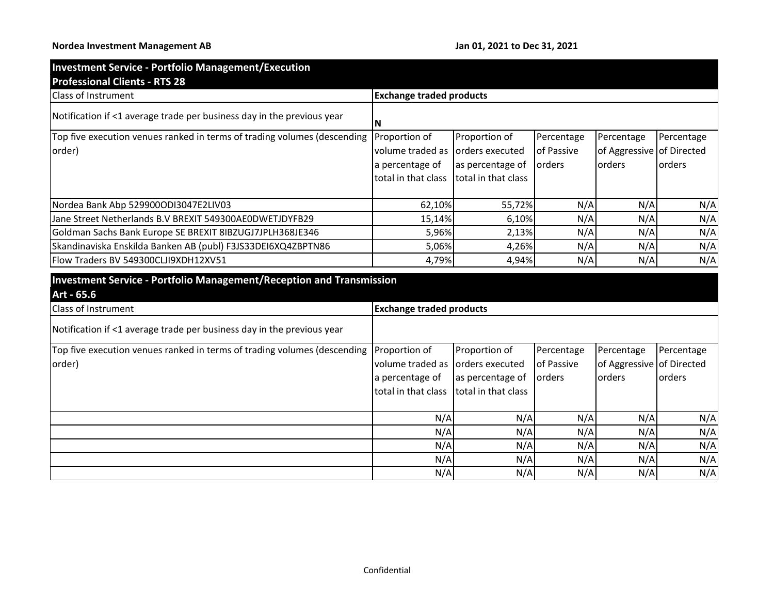## **Nordea Investment Management AB Jan 01, 2021 to Dec 31, 2021**

N/A N/A N/A N/A N/A N/A | N/A | N/A | N/A | N/A

| <b>Investment Service - Portfolio Management/Execution</b>                                |                                  |                     |            |                           |               |
|-------------------------------------------------------------------------------------------|----------------------------------|---------------------|------------|---------------------------|---------------|
| <b>Professional Clients - RTS 28</b>                                                      |                                  |                     |            |                           |               |
| Class of Instrument                                                                       | <b>Exchange traded products</b>  |                     |            |                           |               |
| Notification if <1 average trade per business day in the previous year                    | N                                |                     |            |                           |               |
| Top five execution venues ranked in terms of trading volumes (descending                  | Proportion of                    | Proportion of       | Percentage | Percentage                | Percentage    |
| order)                                                                                    | volume traded as orders executed |                     | of Passive | of Aggressive of Directed |               |
|                                                                                           | a percentage of                  | as percentage of    | orders     | orders                    | orders        |
|                                                                                           | total in that class              | total in that class |            |                           |               |
|                                                                                           |                                  |                     |            |                           |               |
| Nordea Bank Abp 529900ODI3047E2LIV03                                                      | 62,10%                           | 55,72%              | N/A        | N/A                       | N/A           |
| Jane Street Netherlands B.V BREXIT 549300AE0DWETJDYFB29                                   | 15,14%                           | 6,10%               | N/A        | N/A                       | N/A           |
| Goldman Sachs Bank Europe SE BREXIT 8IBZUGJ7JPLH368JE346                                  | 5,96%                            | 2,13%               | N/A        | N/A                       | N/A           |
| Skandinaviska Enskilda Banken AB (publ) F3JS33DEI6XQ4ZBPTN86                              | 5,06%                            | 4,26%               | N/A        | N/A                       | N/A           |
| Flow Traders BV 549300CLJI9XDH12XV51                                                      | 4,79%                            | 4,94%               | N/A        | N/A                       | N/A           |
| <b>Investment Service - Portfolio Management/Reception and Transmission</b><br>Art - 65.6 |                                  |                     |            |                           |               |
| Class of Instrument                                                                       | <b>Exchange traded products</b>  |                     |            |                           |               |
| Notification if <1 average trade per business day in the previous year                    |                                  |                     |            |                           |               |
| Top five execution venues ranked in terms of trading volumes (descending                  | Proportion of                    | Proportion of       | Percentage | Percentage                | Percentage    |
| order)                                                                                    | volume traded as                 | orders executed     | of Passive | of Aggressive             | of Directed   |
|                                                                                           | a percentage of                  | as percentage of    | orders     | orders                    | <b>orders</b> |
|                                                                                           | total in that class              | total in that class |            |                           |               |
|                                                                                           | N/A                              | N/A                 | N/A        | N/A                       | N/A           |
|                                                                                           | N/A                              | N/A                 | N/A        | N/A                       | N/A           |
|                                                                                           | N/A                              | N/A                 | N/A        | N/A                       | N/A           |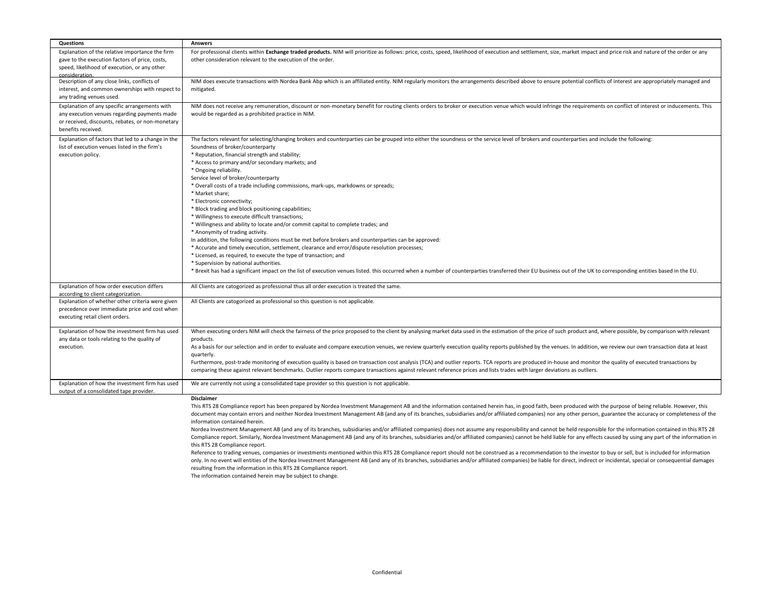| Questions                                                                                                                                                               | <b>Answers</b>                                                                                                                                                                                                                                                                                                                                                                                                                                                                                                                                                                                                                                                                                                                                                                                                                                                                                                                                                                                                                                                                                                                                                                                                                                                                                                                                                                                                                                                                                                                                     |
|-------------------------------------------------------------------------------------------------------------------------------------------------------------------------|----------------------------------------------------------------------------------------------------------------------------------------------------------------------------------------------------------------------------------------------------------------------------------------------------------------------------------------------------------------------------------------------------------------------------------------------------------------------------------------------------------------------------------------------------------------------------------------------------------------------------------------------------------------------------------------------------------------------------------------------------------------------------------------------------------------------------------------------------------------------------------------------------------------------------------------------------------------------------------------------------------------------------------------------------------------------------------------------------------------------------------------------------------------------------------------------------------------------------------------------------------------------------------------------------------------------------------------------------------------------------------------------------------------------------------------------------------------------------------------------------------------------------------------------------|
| Explanation of the relative importance the firm<br>gave to the execution factors of price, costs,<br>speed, likelihood of execution, or any other<br>consideration.     | For professional clients within Exchange traded products. NIM will prioritize as follows: price, costs, speed, likelihood of execution and settlement, size, market impact and price risk and nature of the order or any<br>other consideration relevant to the execution of the order.                                                                                                                                                                                                                                                                                                                                                                                                                                                                                                                                                                                                                                                                                                                                                                                                                                                                                                                                                                                                                                                                                                                                                                                                                                                            |
| Description of any close links, conflicts of<br>interest, and common ownerships with respect to<br>any trading venues used.                                             | NIM does execute transactions with Nordea Bank Abp which is an affiliated entity. NIM regularly monitors the arrangements described above to ensure potential conflicts of interest are appropriately managed and<br>mitigated.                                                                                                                                                                                                                                                                                                                                                                                                                                                                                                                                                                                                                                                                                                                                                                                                                                                                                                                                                                                                                                                                                                                                                                                                                                                                                                                    |
| Explanation of any specific arrangements with<br>any execution venues regarding payments made<br>or received, discounts, rebates, or non-monetary<br>benefits received. | NIM does not receive any remuneration, discount or non-monetary benefit for routing clients orders to broker or execution venue which would infringe the requirements on conflict of interest or inducements. This<br>would be regarded as a prohibited practice in NIM.                                                                                                                                                                                                                                                                                                                                                                                                                                                                                                                                                                                                                                                                                                                                                                                                                                                                                                                                                                                                                                                                                                                                                                                                                                                                           |
| Explanation of factors that led to a change in the<br>list of execution venues listed in the firm's<br>execution policy.                                                | The factors relevant for selecting/changing brokers and counterparties can be grouped into either the soundness or the service level of brokers and counterparties and include the following:<br>Soundness of broker/counterparty<br>* Reputation, financial strength and stability;<br>* Access to primary and/or secondary markets; and<br>* Ongoing reliability.<br>Service level of broker/counterparty<br>* Overall costs of a trade including commissions, mark-ups, markdowns or spreads;<br>* Market share;<br>* Electronic connectivity;<br>* Block trading and block positioning capabilities;<br>* Willingness to execute difficult transactions;<br>* Willingness and ability to locate and/or commit capital to complete trades; and<br>* Anonymity of trading activity.<br>In addition, the following conditions must be met before brokers and counterparties can be approved:<br>* Accurate and timely execution, settlement, clearance and error/dispute resolution processes;<br>* Licensed, as required, to execute the type of transaction; and<br>* Supervision by national authorities.<br>* Brexit has had a significant impact on the list of execution venues listed. this occurred when a number of counterparties transferred their EU business out of the UK to corresponding entities based in the EU.                                                                                                                                                                                                                |
| Explanation of how order execution differs<br>according to client categorization.                                                                                       | All Clients are catogorized as professional thus all order execution is treated the same.                                                                                                                                                                                                                                                                                                                                                                                                                                                                                                                                                                                                                                                                                                                                                                                                                                                                                                                                                                                                                                                                                                                                                                                                                                                                                                                                                                                                                                                          |
| Explanation of whether other criteria were given<br>precedence over immediate price and cost when<br>executing retail client orders.                                    | All Clients are catogorized as professional so this question is not applicable.                                                                                                                                                                                                                                                                                                                                                                                                                                                                                                                                                                                                                                                                                                                                                                                                                                                                                                                                                                                                                                                                                                                                                                                                                                                                                                                                                                                                                                                                    |
| Explanation of how the investment firm has used<br>any data or tools relating to the quality of<br>execution.                                                           | When executing orders NIM will check the fairness of the price proposed to the client by analysing market data used in the estimation of the price of such product and, where possible, by comparison with relevant<br>products.<br>As a basis for our selection and in order to evaluate and compare execution venues, we review quarterly execution quality reports published by the venues. In addition, we review our own transaction data at least<br>quarterly.<br>Furthermore, post-trade monitoring of execution quality is based on transaction cost analysis (TCA) and outlier reports. TCA reports are produced in-house and monitor the quality of executed transactions by<br>comparing these against relevant benchmarks. Outlier reports compare transactions against relevant reference prices and lists trades with larger deviations as outliers.                                                                                                                                                                                                                                                                                                                                                                                                                                                                                                                                                                                                                                                                                |
| Explanation of how the investment firm has used<br>output of a consolidated tape provider.                                                                              | We are currently not using a consolidated tape provider so this question is not applicable.                                                                                                                                                                                                                                                                                                                                                                                                                                                                                                                                                                                                                                                                                                                                                                                                                                                                                                                                                                                                                                                                                                                                                                                                                                                                                                                                                                                                                                                        |
|                                                                                                                                                                         | Disclaimer<br>This RTS 28 Compliance report has been prepared by Nordea Investment Management AB and the information contained herein has, in good faith, been produced with the purpose of being reliable. However, this<br>document may contain errors and neither Nordea Investment Management AB (and any of its branches, subsidiaries and/or affiliated companies) nor any other person, guarantee the accuracy or completeness of the<br>information contained herein.<br>Nordea Investment Management AB (and any of its branches, subsidiaries and/or affiliated companies) does not assume any responsibility and cannot be held responsible for the information contained in this RTS 28<br>Compliance report. Similarly, Nordea Investment Management AB (and any of its branches, subsidiaries and/or affiliated companies) cannot be held liable for any effects caused by using any part of the information in<br>this RTS 28 Compliance report.<br>Reference to trading venues, companies or investments mentioned within this RTS 28 Compliance report should not be construed as a recommendation to the investor to buy or sell, but is included for information<br>only. In no event will entities of the Nordea Investment Management AB (and any of its branches, subsidiaries and/or affiliated companies) be liable for direct, indirect or incidental, special or consequential damages<br>resulting from the information in this RTS 28 Compliance report.<br>The information contained herein may be subject to change. |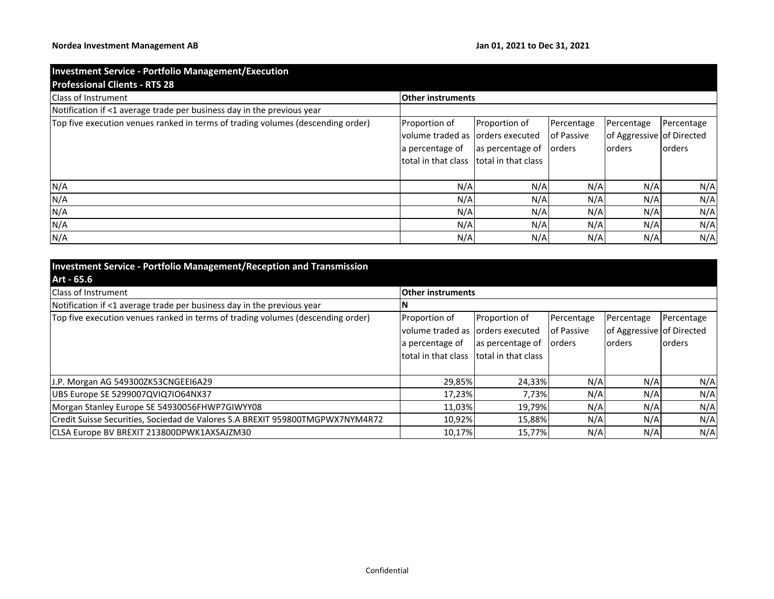| <b>Investment Service - Portfolio Management/Execution</b><br><b>Professional Clients - RTS 28</b> |                                                                                                                   |                                          |                          |                                                          |                              |
|----------------------------------------------------------------------------------------------------|-------------------------------------------------------------------------------------------------------------------|------------------------------------------|--------------------------|----------------------------------------------------------|------------------------------|
| <b>Class of Instrument</b>                                                                         | <b>Other instruments</b>                                                                                          |                                          |                          |                                                          |                              |
| Notification if <1 average trade per business day in the previous year                             |                                                                                                                   |                                          |                          |                                                          |                              |
| Top five execution venues ranked in terms of trading volumes (descending order)                    | Proportion of<br>volume traded as lorders executed<br>a percentage of<br>total in that class Itotal in that class | Proportion of<br>as percentage of orders | Percentage<br>of Passive | Percentage<br>of Aggressive of Directed<br><b>orders</b> | Percentage<br><b>lorders</b> |
| N/A                                                                                                | N/A                                                                                                               | N/A                                      | N/A                      | N/A                                                      | N/A                          |
| N/A                                                                                                | N/A                                                                                                               | N/A                                      | N/A                      | N/A                                                      | N/A                          |
| N/A                                                                                                | N/A                                                                                                               | N/A                                      | N/A                      | N/A                                                      | N/A                          |
| N/A                                                                                                | N/A                                                                                                               | N/A                                      | N/A                      | N/A                                                      | N/A                          |
| N/A                                                                                                | N/A                                                                                                               | N/A                                      | N/A                      | N/A                                                      | N/A                          |

| <b>Investment Service - Portfolio Management/Reception and Transmission</b>     |                                          |                  |            |                           |                |
|---------------------------------------------------------------------------------|------------------------------------------|------------------|------------|---------------------------|----------------|
| Art - 65.6                                                                      |                                          |                  |            |                           |                |
| <b>Class of Instrument</b>                                                      | <b>Other instruments</b>                 |                  |            |                           |                |
| Notification if <1 average trade per business day in the previous year          |                                          |                  |            |                           |                |
| Top five execution venues ranked in terms of trading volumes (descending order) | Proportion of                            | Proportion of    | Percentage | Percentage                | Percentage     |
|                                                                                 | volume traded as lorders executed        |                  | of Passive | of Aggressive of Directed |                |
|                                                                                 | a percentage of                          | as percentage of | lorders    | orders                    | <b>lorders</b> |
|                                                                                 | total in that class Itotal in that class |                  |            |                           |                |
|                                                                                 |                                          |                  |            |                           |                |
| J.P. Morgan AG 549300ZK53CNGEEI6A29                                             | 29,85%                                   | 24,33%           | N/A        | N/A                       | N/A            |
| UBS Europe SE 5299007QVIQ7IO64NX37                                              | 17,23%                                   | 7,73%            | N/A        | N/A                       | N/A            |
| Morgan Stanley Europe SE 54930056FHWP7GIWYY08                                   | 11,03%                                   | 19,79%           | N/A        | N/A                       | N/A            |
| Credit Suisse Securities, Sociedad de Valores S.A BREXIT 959800TMGPWX7NYM4R72   | 10,92%                                   | 15,88%           | N/A        | N/A                       | N/A            |
| CLSA Europe BV BREXIT 213800DPWK1AXSAJZM30                                      | 10,17%                                   | 15,77%           | N/A        | N/A                       | N/A            |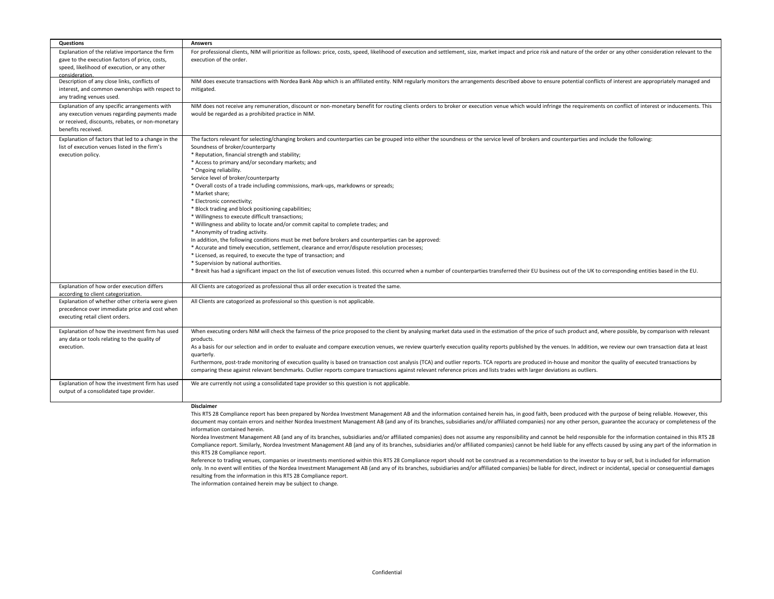| Questions                                                                                                                                                               | <b>Answers</b>                                                                                                                                                                                                                                                                                                                                                                                                                                                                                                                                                                                                                                                                                                                                                                                                                                                                                                                                                                                                                                                                                                                                                                                                                                                                                                                                                                                                                                                                                                                                     |
|-------------------------------------------------------------------------------------------------------------------------------------------------------------------------|----------------------------------------------------------------------------------------------------------------------------------------------------------------------------------------------------------------------------------------------------------------------------------------------------------------------------------------------------------------------------------------------------------------------------------------------------------------------------------------------------------------------------------------------------------------------------------------------------------------------------------------------------------------------------------------------------------------------------------------------------------------------------------------------------------------------------------------------------------------------------------------------------------------------------------------------------------------------------------------------------------------------------------------------------------------------------------------------------------------------------------------------------------------------------------------------------------------------------------------------------------------------------------------------------------------------------------------------------------------------------------------------------------------------------------------------------------------------------------------------------------------------------------------------------|
| Explanation of the relative importance the firm<br>gave to the execution factors of price, costs,<br>speed, likelihood of execution, or any other<br>consideration.     | For professional clients, NIM will prioritize as follows: price, costs, speed, likelihood of execution and settlement, size, market impact and price risk and nature of the order or any other consideration relevant to the<br>execution of the order.                                                                                                                                                                                                                                                                                                                                                                                                                                                                                                                                                                                                                                                                                                                                                                                                                                                                                                                                                                                                                                                                                                                                                                                                                                                                                            |
| Description of any close links, conflicts of<br>interest, and common ownerships with respect to<br>any trading venues used.                                             | NIM does execute transactions with Nordea Bank Abp which is an affiliated entity. NIM regularly monitors the arrangements described above to ensure potential conflicts of interest are appropriately managed and<br>mitigated.                                                                                                                                                                                                                                                                                                                                                                                                                                                                                                                                                                                                                                                                                                                                                                                                                                                                                                                                                                                                                                                                                                                                                                                                                                                                                                                    |
| Explanation of any specific arrangements with<br>any execution venues regarding payments made<br>or received, discounts, rebates, or non-monetary<br>benefits received. | NIM does not receive any remuneration, discount or non-monetary benefit for routing clients orders to broker or execution venue which would infringe the requirements on conflict of interest or inducements. This<br>would be regarded as a prohibited practice in NIM.                                                                                                                                                                                                                                                                                                                                                                                                                                                                                                                                                                                                                                                                                                                                                                                                                                                                                                                                                                                                                                                                                                                                                                                                                                                                           |
| Explanation of factors that led to a change in the<br>list of execution venues listed in the firm's<br>execution policy.                                                | The factors relevant for selecting/changing brokers and counterparties can be grouped into either the soundness or the service level of brokers and counterparties and include the following:<br>Soundness of broker/counterparty<br>* Reputation, financial strength and stability;<br>* Access to primary and/or secondary markets; and<br>* Ongoing reliability.<br>Service level of broker/counterparty<br>* Overall costs of a trade including commissions, mark-ups, markdowns or spreads;<br>* Market share;<br>* Electronic connectivity;<br>* Block trading and block positioning capabilities;<br>* Willingness to execute difficult transactions;<br>* Willingness and ability to locate and/or commit capital to complete trades; and<br>* Anonymity of trading activity.<br>In addition, the following conditions must be met before brokers and counterparties can be approved:<br>* Accurate and timely execution, settlement, clearance and error/dispute resolution processes;<br>* Licensed, as required, to execute the type of transaction; and<br>* Supervision by national authorities.<br>* Brexit has had a significant impact on the list of execution venues listed. this occurred when a number of counterparties transferred their EU business out of the UK to corresponding entities based in the EU.                                                                                                                                                                                                                |
| Explanation of how order execution differs<br>according to client categorization.                                                                                       | All Clients are catogorized as professional thus all order execution is treated the same.                                                                                                                                                                                                                                                                                                                                                                                                                                                                                                                                                                                                                                                                                                                                                                                                                                                                                                                                                                                                                                                                                                                                                                                                                                                                                                                                                                                                                                                          |
| Explanation of whether other criteria were given<br>precedence over immediate price and cost when<br>executing retail client orders.                                    | All Clients are catogorized as professional so this question is not applicable.                                                                                                                                                                                                                                                                                                                                                                                                                                                                                                                                                                                                                                                                                                                                                                                                                                                                                                                                                                                                                                                                                                                                                                                                                                                                                                                                                                                                                                                                    |
| Explanation of how the investment firm has used<br>any data or tools relating to the quality of<br>execution.                                                           | When executing orders NIM will check the fairness of the price proposed to the client by analysing market data used in the estimation of the price of such product and, where possible, by comparison with relevant<br>products.<br>As a basis for our selection and in order to evaluate and compare execution venues, we review quarterly execution quality reports published by the venues. In addition, we review our own transaction data at least<br>quarterly.<br>Furthermore, post-trade monitoring of execution quality is based on transaction cost analysis (TCA) and outlier reports. TCA reports are produced in-house and monitor the quality of executed transactions by<br>comparing these against relevant benchmarks. Outlier reports compare transactions against relevant reference prices and lists trades with larger deviations as outliers.                                                                                                                                                                                                                                                                                                                                                                                                                                                                                                                                                                                                                                                                                |
| Explanation of how the investment firm has used<br>output of a consolidated tape provider.                                                                              | We are currently not using a consolidated tape provider so this question is not applicable.                                                                                                                                                                                                                                                                                                                                                                                                                                                                                                                                                                                                                                                                                                                                                                                                                                                                                                                                                                                                                                                                                                                                                                                                                                                                                                                                                                                                                                                        |
|                                                                                                                                                                         | Disclaimer<br>This RTS 28 Compliance report has been prepared by Nordea Investment Management AB and the information contained herein has, in good faith, been produced with the purpose of being reliable. However, this<br>document may contain errors and neither Nordea Investment Management AB (and any of its branches, subsidiaries and/or affiliated companies) nor any other person, guarantee the accuracy or completeness of the<br>information contained herein.<br>Nordea Investment Management AB (and any of its branches, subsidiaries and/or affiliated companies) does not assume any responsibility and cannot be held responsible for the information contained in this RTS 28<br>Compliance report. Similarly, Nordea Investment Management AB (and any of its branches, subsidiaries and/or affiliated companies) cannot be held liable for any effects caused by using any part of the information in<br>this RTS 28 Compliance report.<br>Reference to trading venues, companies or investments mentioned within this RTS 28 Compliance report should not be construed as a recommendation to the investor to buy or sell, but is included for information<br>only. In no event will entities of the Nordea Investment Management AB (and any of its branches, subsidiaries and/or affiliated companies) be liable for direct, indirect or incidental, special or consequential damages<br>resulting from the information in this RTS 28 Compliance report.<br>The information contained herein may be subject to change. |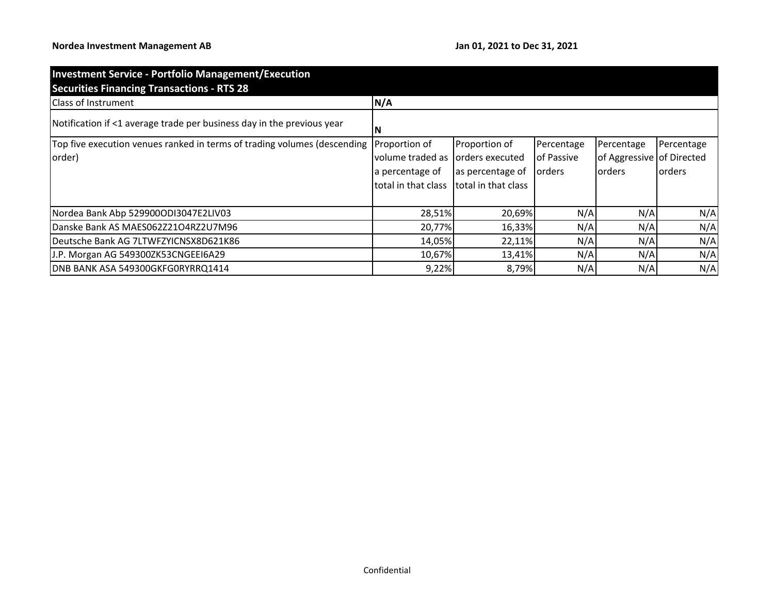| <b>Investment Service - Portfolio Management/Execution</b><br><b>Securities Financing Transactions - RTS 28</b> |                     |                     |            |                           |            |  |  |
|-----------------------------------------------------------------------------------------------------------------|---------------------|---------------------|------------|---------------------------|------------|--|--|
| <b>Class of Instrument</b>                                                                                      | N/A                 |                     |            |                           |            |  |  |
| Notification if <1 average trade per business day in the previous year                                          | N                   |                     |            |                           |            |  |  |
| Top five execution venues ranked in terms of trading volumes (descending                                        | Proportion of       | Proportion of       | Percentage | Percentage                | Percentage |  |  |
| order)                                                                                                          | volume traded as    | orders executed     | of Passive | of Aggressive of Directed |            |  |  |
|                                                                                                                 | a percentage of     | as percentage of    | orders     | lorders                   | lorders    |  |  |
|                                                                                                                 | total in that class | total in that class |            |                           |            |  |  |
|                                                                                                                 |                     |                     |            |                           |            |  |  |
| Nordea Bank Abp 529900ODI3047E2LIV03                                                                            | 28,51%              | 20,69%              | N/A        | N/A                       | N/A        |  |  |
| Danske Bank AS MAES062Z21O4RZ2U7M96                                                                             | 20,77%              | 16,33%              | N/A        | N/A                       | N/A        |  |  |
| Deutsche Bank AG 7LTWFZYICNSX8D621K86                                                                           | 14,05%              | 22,11%              | N/A        | N/A                       | N/A        |  |  |
| J.P. Morgan AG 549300ZK53CNGEEI6A29                                                                             | 10,67%              | 13,41%              | N/A        | N/A                       | N/A        |  |  |
| DNB BANK ASA 549300GKFG0RYRRQ1414                                                                               | 9,22%               | 8,79%               | N/A        | N/A                       | N/A        |  |  |